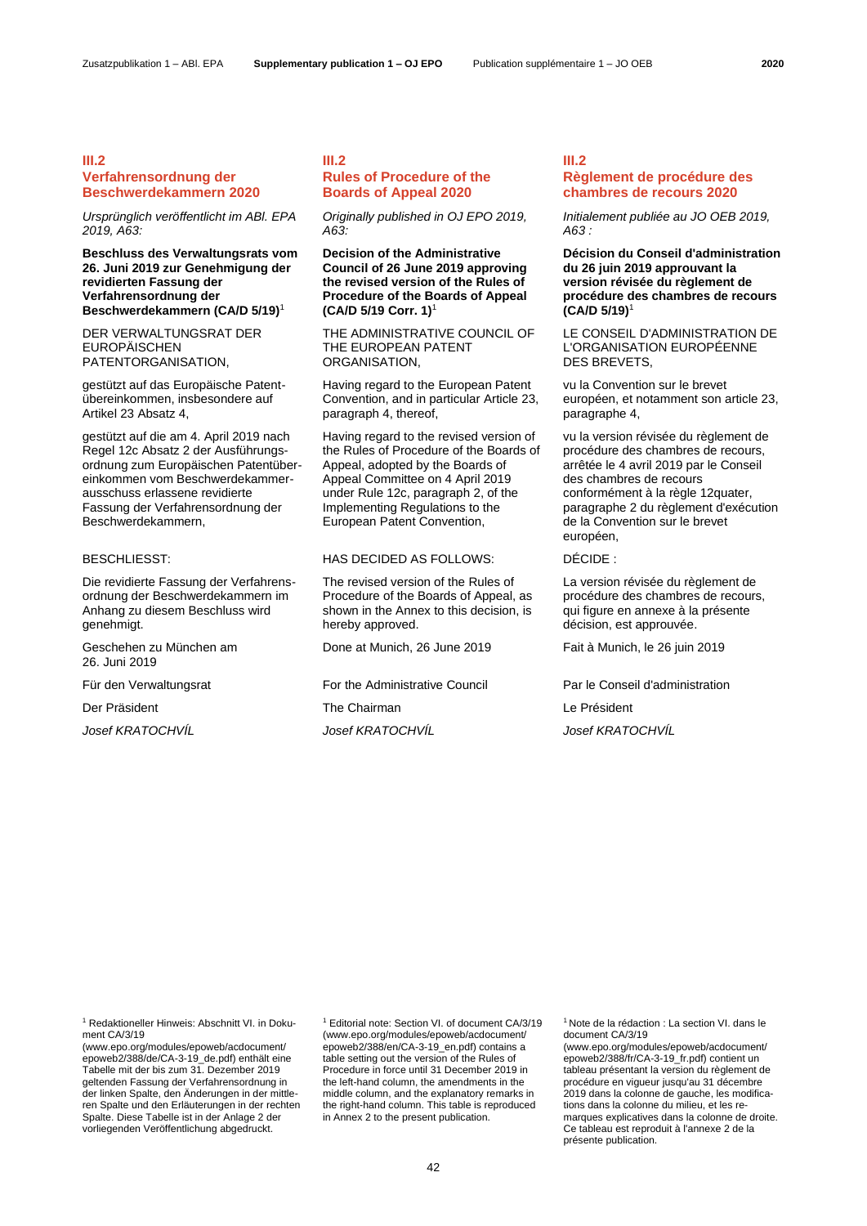# **III.2 Verfahrensordnung der Beschwerdekammern 2020**

*Ursprünglich veröffentlicht im ABl. EPA 2019, A63:*

**Beschluss des Verwaltungsrats vom 26. Juni 2019 zur Genehmigung der revidierten Fassung der Verfahrensordnung der Beschwerdekammern (CA/D 5/19)**<sup>1</sup>

DER VERWALTUNGSRAT DER EUROPÄISCHEN PATENTORGANISATION,

gestützt auf das Europäische Patentübereinkommen, insbesondere auf Artikel 23 Absatz 4,

gestützt auf die am 4. April 2019 nach Regel 12c Absatz 2 der Ausführungsordnung zum Europäischen Patentübereinkommen vom Beschwerdekammerausschuss erlassene revidierte Fassung der Verfahrensordnung der Beschwerdekammern,

Die revidierte Fassung der Verfahrensordnung der Beschwerdekammern im Anhang zu diesem Beschluss wird genehmigt.

Geschehen zu München am 26. Juni 2019

Der Präsident The Chairman Chairman Le Président

# **III.2 Rules of Procedure of the Boards of Appeal 2020**

*Originally published in OJ EPO 2019, A63:*

**Decision of the Administrative Council of 26 June 2019 approving the revised version of the Rules of Procedure of the Boards of Appeal (CA/D 5/19 Corr. 1)**[1](#page-0-0)

<span id="page-0-0"></span>THE ADMINISTRATIVE COUNCIL OF THE EUROPEAN PATENT ORGANISATION,

Having regard to the European Patent Convention, and in particular Article 23, paragraph 4, thereof,

Having regard to the revised version of the Rules of Procedure of the Boards of Appeal, adopted by the Boards of Appeal Committee on 4 April 2019 under Rule 12c, paragraph 2, of the Implementing Regulations to the European Patent Convention,

# BESCHLIESST: HAS DECIDED AS FOLLOWS: DÉCIDE :

The revised version of the Rules of Procedure of the Boards of Appeal, as shown in the Annex to this decision, is hereby approved.

Done at Munich, 26 June 2019 Fait à Munich, le 26 juin 2019

Für den Verwaltungsrat For the Administrative Council Par le Conseil d'administration

*Josef KRATOCHVÍL Josef KRATOCHVÍL Josef KRATOCHVÍL*

# **III.2 Règlement de procédure des chambres de recours 2020**

*Initialement publiée au JO OEB 2019, A63 :*

**Décision du Conseil d'administration du 26 juin 2019 approuvant la version révisée du règlement de procédure des chambres de recours (CA/D 5/19[\)](#page-0-0)**<sup>1</sup>

LE CONSEIL D'ADMINISTRATION DE L'ORGANISATION EUROPÉENNE DES BREVETS,

vu la Convention sur le brevet européen, et notamment son article 23, paragraphe 4

vu la version révisée du règlement de procédure des chambres de recours, arrêtée le 4 avril 2019 par le Conseil des chambres de recours conformément à la règle 12quater, paragraphe 2 du règlement d'exécution de la Convention sur le brevet européen,

La version révisée du règlement de procédure des chambres de recours, qui figure en annexe à la présente décision, est approuvée.

<sup>1</sup> Redaktioneller Hinweis: Abschnitt VI. in Dokument CA/3/19

(www.epo.org/modules/epoweb/acdocument/ epoweb2/388/de/CA-3-19\_de.pdf) enthält eine Tabelle mit der bis zum 31. Dezember 2019 geltenden Fassung der Verfahrensordnung in der linken Spalte, den Änderungen in der mittleren Spalte und den Erläuterungen in der rechten Spalte. Diese Tabelle ist in der Anlage 2 der vorliegenden Veröffentlichung abgedruckt.

[1](#page-0-0) Editorial note: Section VI. of document CA/3/19 (www.epo.org/modules/epoweb/acdocument/ epoweb2/388/en/CA-3-19\_en.pdf) contains a table setting out the version of the Rules of Procedure in force until 31 December 2019 in the left-hand column, the amendments in the middle column, and the explanatory remarks in the right-hand column. This table is reproduced in Annex 2 to the present publication.

[1](#page-0-0) Note de la rédaction : La section VI. dans le document CA/3/19

(www.epo.org/modules/epoweb/acdocument/ epoweb2/388/fr/CA-3-19\_fr.pdf) contient un tableau présentant la version du règlement de procédure en vigueur jusqu'au 31 décembre 2019 dans la colonne de gauche, les modifications dans la colonne du milieu, et les remarques explicatives dans la colonne de droite. Ce tableau est reproduit à l'annexe 2 de la présente publication.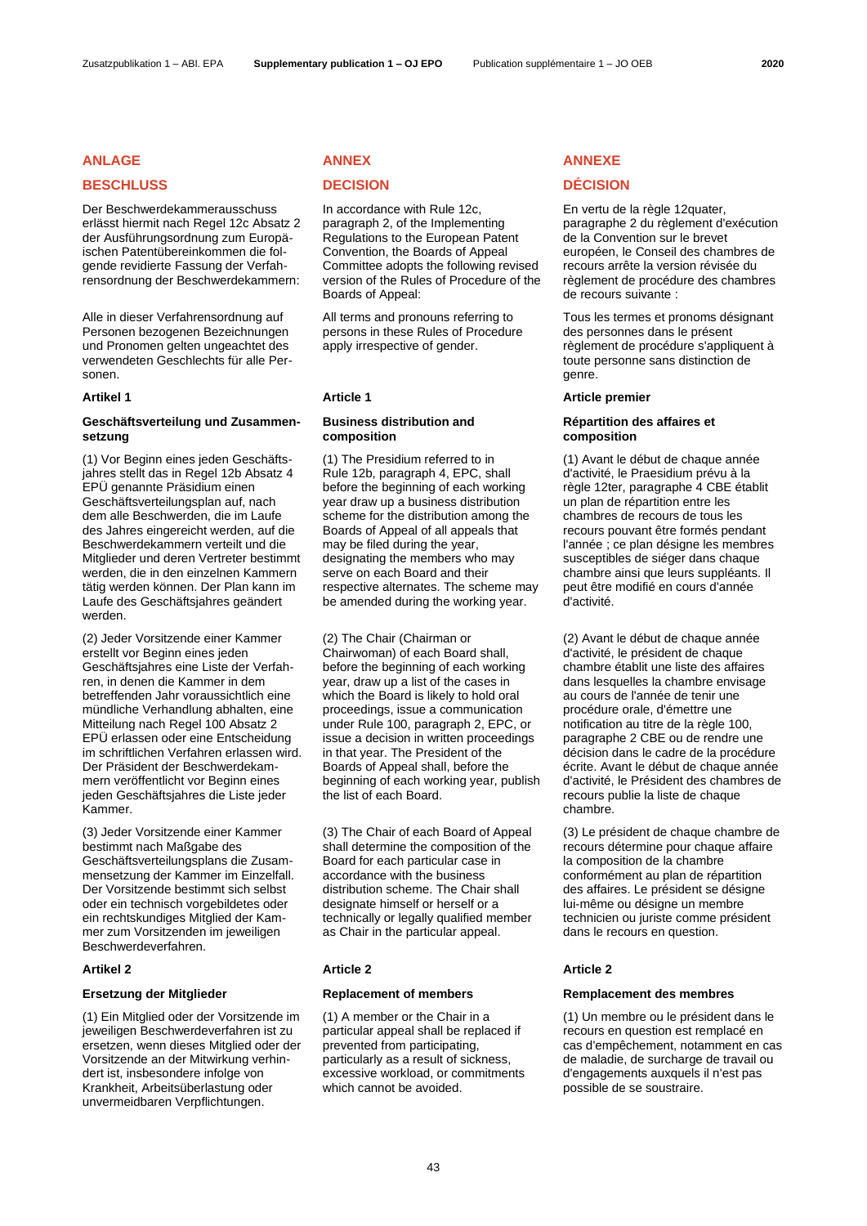# **BESCHLUSS DECISION DÉCISION**

Der Beschwerdekammerausschuss erlässt hiermit nach Regel 12c Absatz 2 der Ausführungsordnung zum Europäischen Patentübereinkommen die folgende revidierte Fassung der Verfahrensordnung der Beschwerdekammern:

Alle in dieser Verfahrensordnung auf Personen bezogenen Bezeichnungen und Pronomen gelten ungeachtet des verwendeten Geschlechts für alle Personen.

# **Geschäftsverteilung und Zusammensetzung**

(1) Vor Beginn eines jeden Geschäftsjahres stellt das in Regel 12b Absatz 4 EPÜ genannte Präsidium einen Geschäftsverteilungsplan auf, nach dem alle Beschwerden, die im Laufe des Jahres eingereicht werden, auf die Beschwerdekammern verteilt und die Mitglieder und deren Vertreter bestimmt werden, die in den einzelnen Kammern tätig werden können. Der Plan kann im Laufe des Geschäftsjahres geändert werden.

(2) Jeder Vorsitzende einer Kammer erstellt vor Beginn eines jeden Geschäftsjahres eine Liste der Verfahren, in denen die Kammer in dem betreffenden Jahr voraussichtlich eine mündliche Verhandlung abhalten, eine Mitteilung nach Regel 100 Absatz 2 EPÜ erlassen oder eine Entscheidung im schriftlichen Verfahren erlassen wird. Der Präsident der Beschwerdekammern veröffentlicht vor Beginn eines jeden Geschäftsjahres die Liste jeder Kammer.

(3) Jeder Vorsitzende einer Kammer bestimmt nach Maßgabe des Geschäftsverteilungsplans die Zusammensetzung der Kammer im Einzelfall. Der Vorsitzende bestimmt sich selbst oder ein technisch vorgebildetes oder ein rechtskundiges Mitglied der Kammer zum Vorsitzenden im jeweiligen Beschwerdeverfahren.

## **Artikel 2 Article 2 Article 2**

(1) Ein Mitglied oder der Vorsitzende im jeweiligen Beschwerdeverfahren ist zu ersetzen, wenn dieses Mitglied oder der Vorsitzende an der Mitwirkung verhindert ist, insbesondere infolge von Krankheit, Arbeitsüberlastung oder unvermeidbaren Verpflichtungen.

In accordance with Rule 12c, paragraph 2, of the Implementing Regulations to the European Patent Convention, the Boards of Appeal Committee adopts the following revised version of the Rules of Procedure of the Boards of Appeal:

All terms and pronouns referring to persons in these Rules of Procedure apply irrespective of gender.

# **Business distribution and composition**

(1) The Presidium referred to in Rule 12b, paragraph 4, EPC, shall before the beginning of each working year draw up a business distribution scheme for the distribution among the Boards of Appeal of all appeals that may be filed during the year, designating the members who may serve on each Board and their respective alternates. The scheme may be amended during the working year.

(2) The Chair (Chairman or Chairwoman) of each Board shall, before the beginning of each working year, draw up a list of the cases in which the Board is likely to hold oral proceedings, issue a communication under Rule 100, paragraph 2, EPC, or issue a decision in written proceedings in that year. The President of the Boards of Appeal shall, before the beginning of each working year, publish the list of each Board.

(3) The Chair of each Board of Appeal shall determine the composition of the Board for each particular case in accordance with the business distribution scheme. The Chair shall designate himself or herself or a technically or legally qualified member as Chair in the particular appeal.

(1) A member or the Chair in a particular appeal shall be replaced if prevented from participating, particularly as a result of sickness, excessive workload, or commitments which cannot be avoided.

# **ANLAGE ANNEX ANNEXE**

En vertu de la règle 12quater, paragraphe 2 du règlement d'exécution de la Convention sur le brevet européen, le Conseil des chambres de recours arrête la version révisée du règlement de procédure des chambres de recours suivante :

Tous les termes et pronoms désignant des personnes dans le présent règlement de procédure s'appliquent à toute personne sans distinction de genre.

## **Artikel 1 Article 1 Article premier**

# **Répartition des affaires et composition**

(1) Avant le début de chaque année d'activité, le Praesidium prévu à la règle 12ter, paragraphe 4 CBE établit un plan de répartition entre les chambres de recours de tous les recours pouvant être formés pendant l'année ; ce plan désigne les membres susceptibles de siéger dans chaque chambre ainsi que leurs suppléants. Il peut être modifié en cours d'année d'activité.

(2) Avant le début de chaque année d'activité, le président de chaque chambre établit une liste des affaires dans lesquelles la chambre envisage au cours de l'année de tenir une procédure orale, d'émettre une notification au titre de la règle 100, paragraphe 2 CBE ou de rendre une décision dans le cadre de la procédure écrite. Avant le début de chaque année d'activité, le Président des chambres de recours publie la liste de chaque chambre.

(3) Le président de chaque chambre de recours détermine pour chaque affaire la composition de la chambre conformément au plan de répartition des affaires. Le président se désigne lui-même ou désigne un membre technicien ou juriste comme président dans le recours en question.

# **Ersetzung der Mitglieder Replacement of members Remplacement des membres**

(1) Un membre ou le président dans le recours en question est remplacé en cas d'empêchement, notamment en cas de maladie, de surcharge de travail ou d'engagements auxquels il n'est pas possible de se soustraire.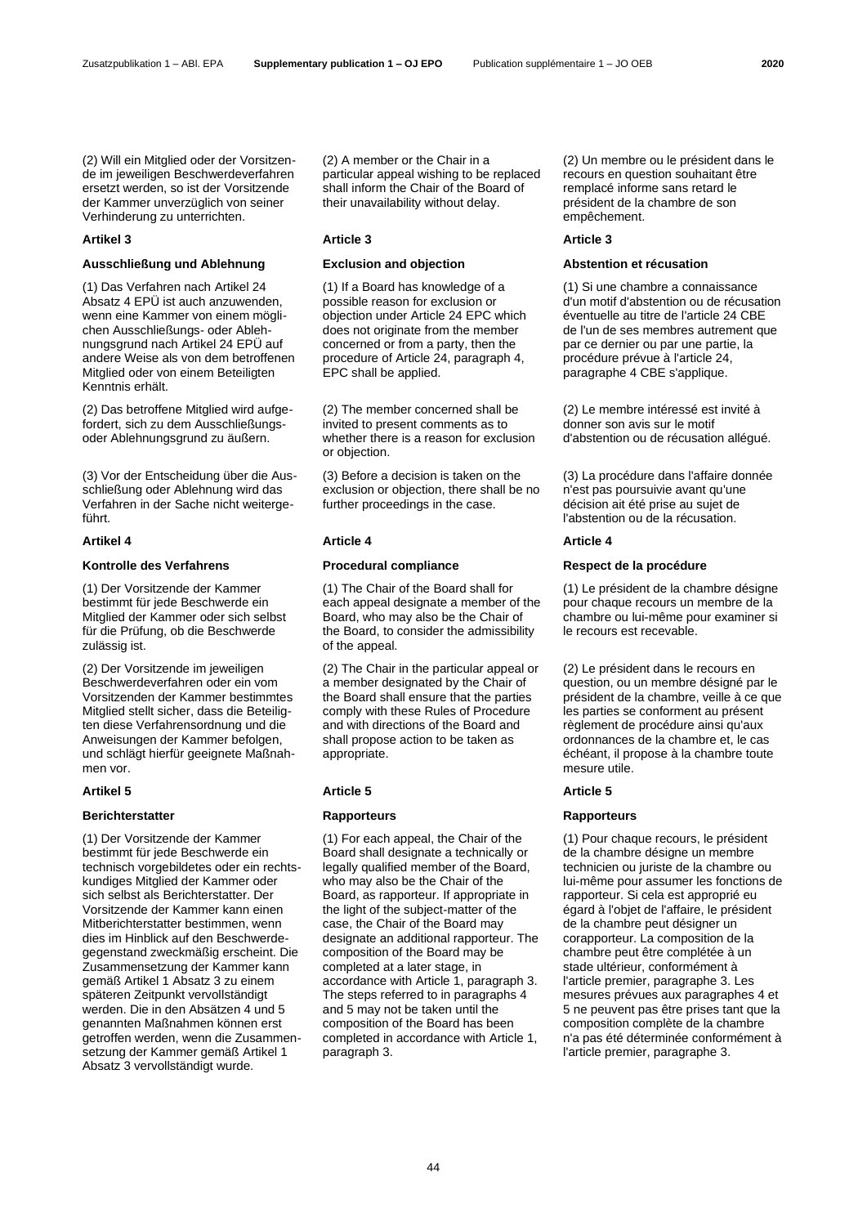(2) Will ein Mitglied oder der Vorsitzende im jeweiligen Beschwerdeverfahren ersetzt werden, so ist der Vorsitzende der Kammer unverzüglich von seiner Verhinderung zu unterrichten.

## **Ausschließung und Ablehnung Exclusion and objection Abstention et récusation**

(1) Das Verfahren nach Artikel 24 Absatz 4 EPÜ ist auch anzuwenden, wenn eine Kammer von einem möglichen Ausschließungs- oder Ablehnungsgrund nach Artikel 24 EPÜ auf andere Weise als von dem betroffenen Mitglied oder von einem Beteiligten Kenntnis erhält.

(2) Das betroffene Mitglied wird aufgefordert, sich zu dem Ausschließungsoder Ablehnungsgrund zu äußern.

(3) Vor der Entscheidung über die Ausschließung oder Ablehnung wird das Verfahren in der Sache nicht weitergeführt.

# **Kontrolle des Verfahrens Procedural compliance Respect de la procédure**

(1) Der Vorsitzende der Kammer bestimmt für jede Beschwerde ein Mitglied der Kammer oder sich selbst für die Prüfung, ob die Beschwerde zulässig ist.

(2) Der Vorsitzende im jeweiligen Beschwerdeverfahren oder ein vom Vorsitzenden der Kammer bestimmtes Mitglied stellt sicher, dass die Beteiligten diese Verfahrensordnung und die Anweisungen der Kammer befolgen, und schlägt hierfür geeignete Maßnahmen vor.

## **Berichterstatter Rapporteurs Rapporteurs**

(1) Der Vorsitzende der Kammer bestimmt für jede Beschwerde ein technisch vorgebildetes oder ein rechtskundiges Mitglied der Kammer oder sich selbst als Berichterstatter. Der Vorsitzende der Kammer kann einen Mitberichterstatter bestimmen, wenn dies im Hinblick auf den Beschwerdegegenstand zweckmäßig erscheint. Die Zusammensetzung der Kammer kann gemäß Artikel 1 Absatz 3 zu einem späteren Zeitpunkt vervollständigt werden. Die in den Absätzen 4 und 5 genannten Maßnahmen können erst getroffen werden, wenn die Zusammensetzung der Kammer gemäß Artikel 1 Absatz 3 vervollständigt wurde.

(2) A member or the Chair in a particular appeal wishing to be replaced shall inform the Chair of the Board of their unavailability without delay.

## **Artikel 3 Article 3 Article 3**

(1) If a Board has knowledge of a possible reason for exclusion or objection under Article 24 EPC which does not originate from the member concerned or from a party, then the procedure of Article 24, paragraph 4, EPC shall be applied.

(2) The member concerned shall be invited to present comments as to whether there is a reason for exclusion or objection.

(3) Before a decision is taken on the exclusion or objection, there shall be no further proceedings in the case.

## **Artikel 4 Article 4 Article 4**

(1) The Chair of the Board shall for each appeal designate a member of the Board, who may also be the Chair of the Board, to consider the admissibility of the appeal.

(2) The Chair in the particular appeal or a member designated by the Chair of the Board shall ensure that the parties comply with these Rules of Procedure and with directions of the Board and shall propose action to be taken as appropriate.

## **Artikel 5 Article 5 Article 5**

(1) For each appeal, the Chair of the Board shall designate a technically or legally qualified member of the Board, who may also be the Chair of the Board, as rapporteur. If appropriate in the light of the subject-matter of the case, the Chair of the Board may designate an additional rapporteur. The composition of the Board may be completed at a later stage, in accordance with Article 1, paragraph 3. The steps referred to in paragraphs 4 and 5 may not be taken until the composition of the Board has been completed in accordance with Article 1, paragraph 3.

(2) Un membre ou le président dans le recours en question souhaitant être remplacé informe sans retard le président de la chambre de son empêchement.

(1) Si une chambre a connaissance d'un motif d'abstention ou de récusation éventuelle au titre de l'article 24 CBE de l'un de ses membres autrement que par ce dernier ou par une partie, la procédure prévue à l'article 24, paragraphe 4 CBE s'applique.

(2) Le membre intéressé est invité à donner son avis sur le motif d'abstention ou de récusation allégué.

(3) La procédure dans l'affaire donnée n'est pas poursuivie avant qu'une décision ait été prise au sujet de l'abstention ou de la récusation.

(1) Le président de la chambre désigne pour chaque recours un membre de la chambre ou lui-même pour examiner si le recours est recevable.

(2) Le président dans le recours en question, ou un membre désigné par le président de la chambre, veille à ce que les parties se conforment au présent règlement de procédure ainsi qu'aux ordonnances de la chambre et, le cas échéant, il propose à la chambre toute mesure utile.

(1) Pour chaque recours, le président de la chambre désigne un membre technicien ou juriste de la chambre ou lui-même pour assumer les fonctions de rapporteur. Si cela est approprié eu égard à l'objet de l'affaire, le président de la chambre peut désigner un corapporteur. La composition de la chambre peut être complétée à un stade ultérieur, conformément à l'article premier, paragraphe 3. Les mesures prévues aux paragraphes 4 et 5 ne peuvent pas être prises tant que la composition complète de la chambre n'a pas été déterminée conformément à l'article premier, paragraphe 3.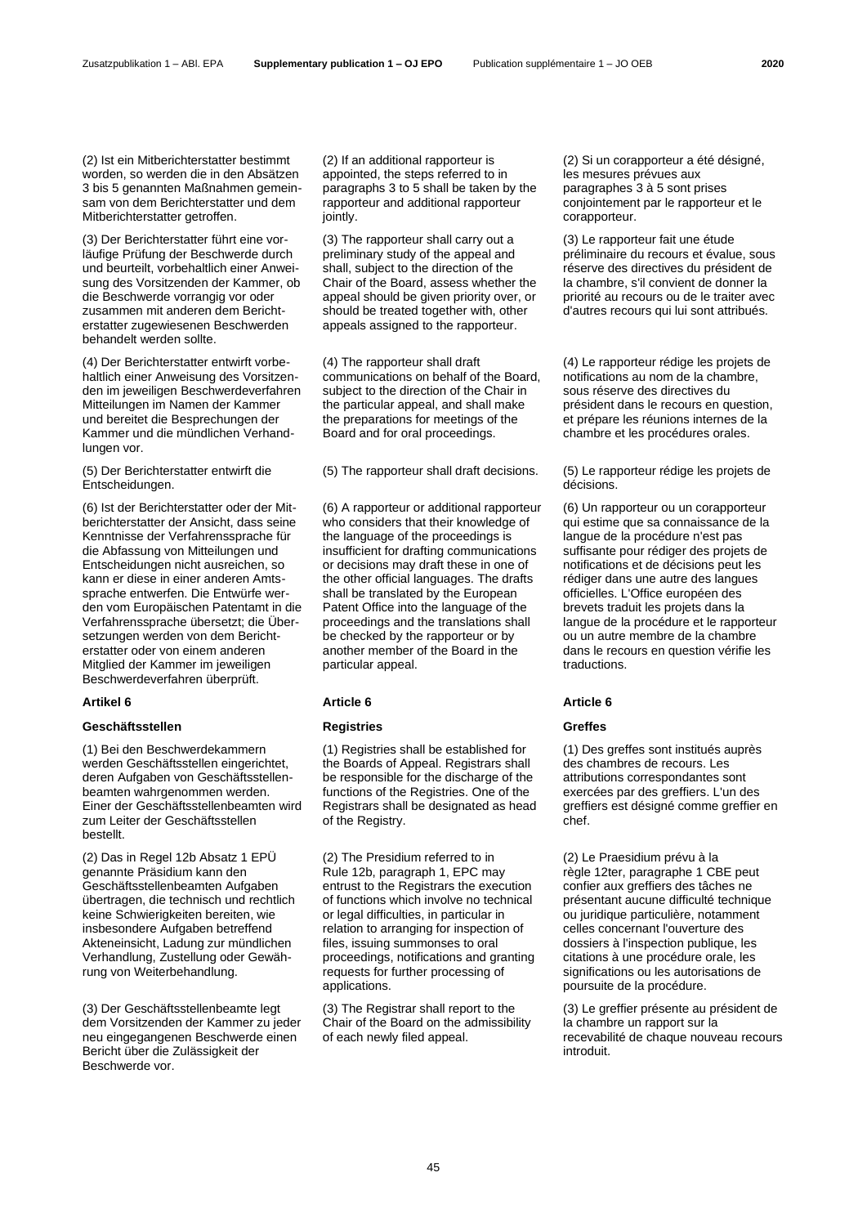(2) Ist ein Mitberichterstatter bestimmt worden, so werden die in den Absätzen 3 bis 5 genannten Maßnahmen gemeinsam von dem Berichterstatter und dem Mitberichterstatter getroffen.

(3) Der Berichterstatter führt eine vorläufige Prüfung der Beschwerde durch und beurteilt, vorbehaltlich einer Anweisung des Vorsitzenden der Kammer, ob die Beschwerde vorrangig vor oder zusammen mit anderen dem Berichterstatter zugewiesenen Beschwerden behandelt werden sollte.

(4) Der Berichterstatter entwirft vorbehaltlich einer Anweisung des Vorsitzenden im jeweiligen Beschwerdeverfahren Mitteilungen im Namen der Kammer und bereitet die Besprechungen der Kammer und die mündlichen Verhandlungen vor.

(5) Der Berichterstatter entwirft die Entscheidungen.

(6) Ist der Berichterstatter oder der Mitberichterstatter der Ansicht, dass seine Kenntnisse der Verfahrenssprache für die Abfassung von Mitteilungen und Entscheidungen nicht ausreichen, so kann er diese in einer anderen Amtssprache entwerfen. Die Entwürfe werden vom Europäischen Patentamt in die Verfahrenssprache übersetzt; die Übersetzungen werden von dem Berichterstatter oder von einem anderen Mitglied der Kammer im jeweiligen Beschwerdeverfahren überprüft.

## **Geschäftsstellen Registries Greffes**

(1) Bei den Beschwerdekammern werden Geschäftsstellen eingerichtet, deren Aufgaben von Geschäftsstellenbeamten wahrgenommen werden. Einer der Geschäftsstellenbeamten wird zum Leiter der Geschäftsstellen bestellt.

(2) Das in Regel 12b Absatz 1 EPÜ genannte Präsidium kann den Geschäftsstellenbeamten Aufgaben übertragen, die technisch und rechtlich keine Schwierigkeiten bereiten, wie insbesondere Aufgaben betreffend Akteneinsicht, Ladung zur mündlichen Verhandlung, Zustellung oder Gewährung von Weiterbehandlung.

(3) Der Geschäftsstellenbeamte legt dem Vorsitzenden der Kammer zu jeder neu eingegangenen Beschwerde einen Bericht über die Zulässigkeit der Beschwerde vor.

(2) If an additional rapporteur is appointed, the steps referred to in paragraphs 3 to 5 shall be taken by the rapporteur and additional rapporteur jointly.

(3) The rapporteur shall carry out a preliminary study of the appeal and shall, subject to the direction of the Chair of the Board, assess whether the appeal should be given priority over, or should be treated together with, other appeals assigned to the rapporteur.

(4) The rapporteur shall draft communications on behalf of the Board, subject to the direction of the Chair in the particular appeal, and shall make the preparations for meetings of the Board and for oral proceedings.

(6) A rapporteur or additional rapporteur who considers that their knowledge of the language of the proceedings is insufficient for drafting communications or decisions may draft these in one of the other official languages. The drafts shall be translated by the European Patent Office into the language of the proceedings and the translations shall be checked by the rapporteur or by another member of the Board in the particular appeal.

# **Artikel 6 Article 6 Article 6**

(1) Registries shall be established for the Boards of Appeal. Registrars shall be responsible for the discharge of the functions of the Registries. One of the Registrars shall be designated as head of the Registry.

(2) The Presidium referred to in Rule 12b, paragraph 1, EPC may entrust to the Registrars the execution of functions which involve no technical or legal difficulties, in particular in relation to arranging for inspection of files, issuing summonses to oral proceedings, notifications and granting requests for further processing of applications.

(3) The Registrar shall report to the Chair of the Board on the admissibility of each newly filed appeal.

(2) Si un corapporteur a été désigné, les mesures prévues aux paragraphes 3 à 5 sont prises conjointement par le rapporteur et le corapporteur.

(3) Le rapporteur fait une étude préliminaire du recours et évalue, sous réserve des directives du président de la chambre, s'il convient de donner la priorité au recours ou de le traiter avec d'autres recours qui lui sont attribués.

(4) Le rapporteur rédige les projets de notifications au nom de la chambre, sous réserve des directives du président dans le recours en question, et prépare les réunions internes de la chambre et les procédures orales.

(5) The rapporteur shall draft decisions. (5) Le rapporteur rédige les projets de décisions.

> (6) Un rapporteur ou un corapporteur qui estime que sa connaissance de la langue de la procédure n'est pas suffisante pour rédiger des projets de notifications et de décisions peut les rédiger dans une autre des langues officielles. L'Office européen des brevets traduit les projets dans la langue de la procédure et le rapporteur ou un autre membre de la chambre dans le recours en question vérifie les traductions.

(1) Des greffes sont institués auprès des chambres de recours. Les attributions correspondantes sont exercées par des greffiers. L'un des greffiers est désigné comme greffier en chef.

(2) Le Praesidium prévu à la règle 12ter, paragraphe 1 CBE peut confier aux greffiers des tâches ne présentant aucune difficulté technique ou juridique particulière, notamment celles concernant l'ouverture des dossiers à l'inspection publique, les citations à une procédure orale, les significations ou les autorisations de poursuite de la procédure.

(3) Le greffier présente au président de la chambre un rapport sur la recevabilité de chaque nouveau recours introduit.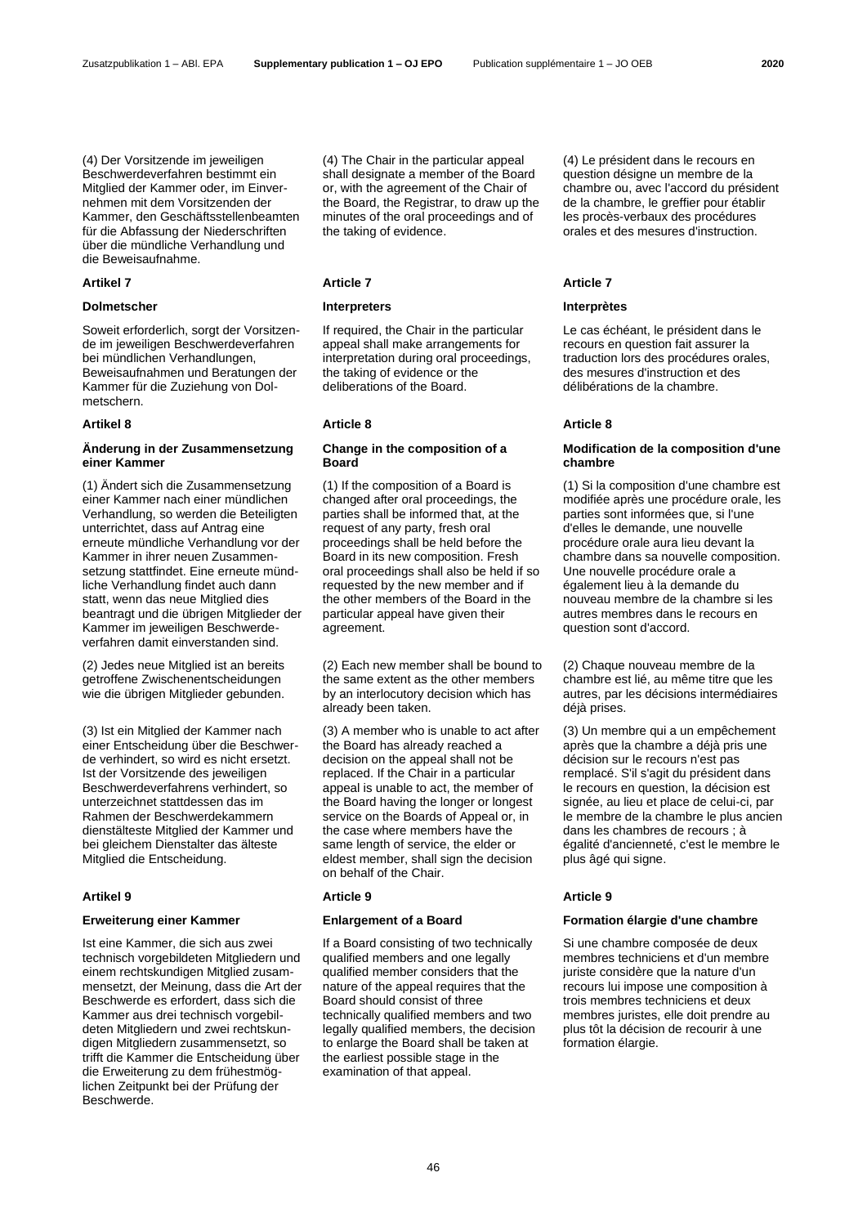(4) Der Vorsitzende im jeweiligen Beschwerdeverfahren bestimmt ein Mitglied der Kammer oder, im Einvernehmen mit dem Vorsitzenden der Kammer, den Geschäftsstellenbeamten für die Abfassung der Niederschriften über die mündliche Verhandlung und die Beweisaufnahme.

## **Dolmetscher Interpreters Interprètes**

Soweit erforderlich, sorgt der Vorsitzende im jeweiligen Beschwerdeverfahren bei mündlichen Verhandlungen, Beweisaufnahmen und Beratungen der Kammer für die Zuziehung von Dolmetschern.

# **Änderung in der Zusammensetzung einer Kammer**

(1) Ändert sich die Zusammensetzung einer Kammer nach einer mündlichen Verhandlung, so werden die Beteiligten unterrichtet, dass auf Antrag eine erneute mündliche Verhandlung vor der Kammer in ihrer neuen Zusammensetzung stattfindet. Eine erneute mündliche Verhandlung findet auch dann statt, wenn das neue Mitglied dies beantragt und die übrigen Mitglieder der Kammer im jeweiligen Beschwerdeverfahren damit einverstanden sind.

(2) Jedes neue Mitglied ist an bereits getroffene Zwischenentscheidungen wie die übrigen Mitglieder gebunden.

(3) Ist ein Mitglied der Kammer nach einer Entscheidung über die Beschwerde verhindert, so wird es nicht ersetzt. Ist der Vorsitzende des jeweiligen Beschwerdeverfahrens verhindert, so unterzeichnet stattdessen das im Rahmen der Beschwerdekammern dienstälteste Mitglied der Kammer und bei gleichem Dienstalter das älteste Mitglied die Entscheidung.

Ist eine Kammer, die sich aus zwei technisch vorgebildeten Mitgliedern und einem rechtskundigen Mitglied zusammensetzt, der Meinung, dass die Art der Beschwerde es erfordert, dass sich die Kammer aus drei technisch vorgebildeten Mitgliedern und zwei rechtskundigen Mitgliedern zusammensetzt, so trifft die Kammer die Entscheidung über die Erweiterung zu dem frühestmöglichen Zeitpunkt bei der Prüfung der Beschwerde.

(4) The Chair in the particular appeal shall designate a member of the Board or, with the agreement of the Chair of the Board, the Registrar, to draw up the minutes of the oral proceedings and of the taking of evidence.

If required, the Chair in the particular appeal shall make arrangements for interpretation during oral proceedings, the taking of evidence or the deliberations of the Board.

## **Artikel 8 Article 8 Article 8**

## **Change in the composition of a Board**

(1) If the composition of a Board is changed after oral proceedings, the parties shall be informed that, at the request of any party, fresh oral proceedings shall be held before the Board in its new composition. Fresh oral proceedings shall also be held if so requested by the new member and if the other members of the Board in the particular appeal have given their agreement.

(2) Each new member shall be bound to the same extent as the other members by an interlocutory decision which has already been taken.

(3) A member who is unable to act after the Board has already reached a decision on the appeal shall not be replaced. If the Chair in a particular appeal is unable to act, the member of the Board having the longer or longest service on the Boards of Appeal or, in the case where members have the same length of service, the elder or eldest member, shall sign the decision on behalf of the Chair.

## **Artikel 9 Article 9 Article 9**

If a Board consisting of two technically qualified members and one legally qualified member considers that the nature of the appeal requires that the Board should consist of three technically qualified members and two legally qualified members, the decision to enlarge the Board shall be taken at the earliest possible stage in the examination of that appeal.

(4) Le président dans le recours en question désigne un membre de la chambre ou, avec l'accord du président de la chambre, le greffier pour établir les procès-verbaux des procédures orales et des mesures d'instruction.

## **Artikel 7 Article 7 Article 7**

Le cas échéant, le président dans le recours en question fait assurer la traduction lors des procédures orales, des mesures d'instruction et des délibérations de la chambre.

## **Modification de la composition d'une chambre**

(1) Si la composition d'une chambre est modifiée après une procédure orale, les parties sont informées que, si l'une d'elles le demande, une nouvelle procédure orale aura lieu devant la chambre dans sa nouvelle composition. Une nouvelle procédure orale a également lieu à la demande du nouveau membre de la chambre si les autres membres dans le recours en question sont d'accord.

(2) Chaque nouveau membre de la chambre est lié, au même titre que les autres, par les décisions intermédiaires déjà prises.

(3) Un membre qui a un empêchement après que la chambre a déjà pris une décision sur le recours n'est pas remplacé. S'il s'agit du président dans le recours en question, la décision est signée, au lieu et place de celui-ci, par le membre de la chambre le plus ancien dans les chambres de recours ; à égalité d'ancienneté, c'est le membre le plus âgé qui signe.

# **Erweiterung einer Kammer Enlargement of a Board Formation élargie d'une chambre**

Si une chambre composée de deux membres techniciens et d'un membre juriste considère que la nature d'un recours lui impose une composition à trois membres techniciens et deux membres juristes, elle doit prendre au plus tôt la décision de recourir à une formation élargie.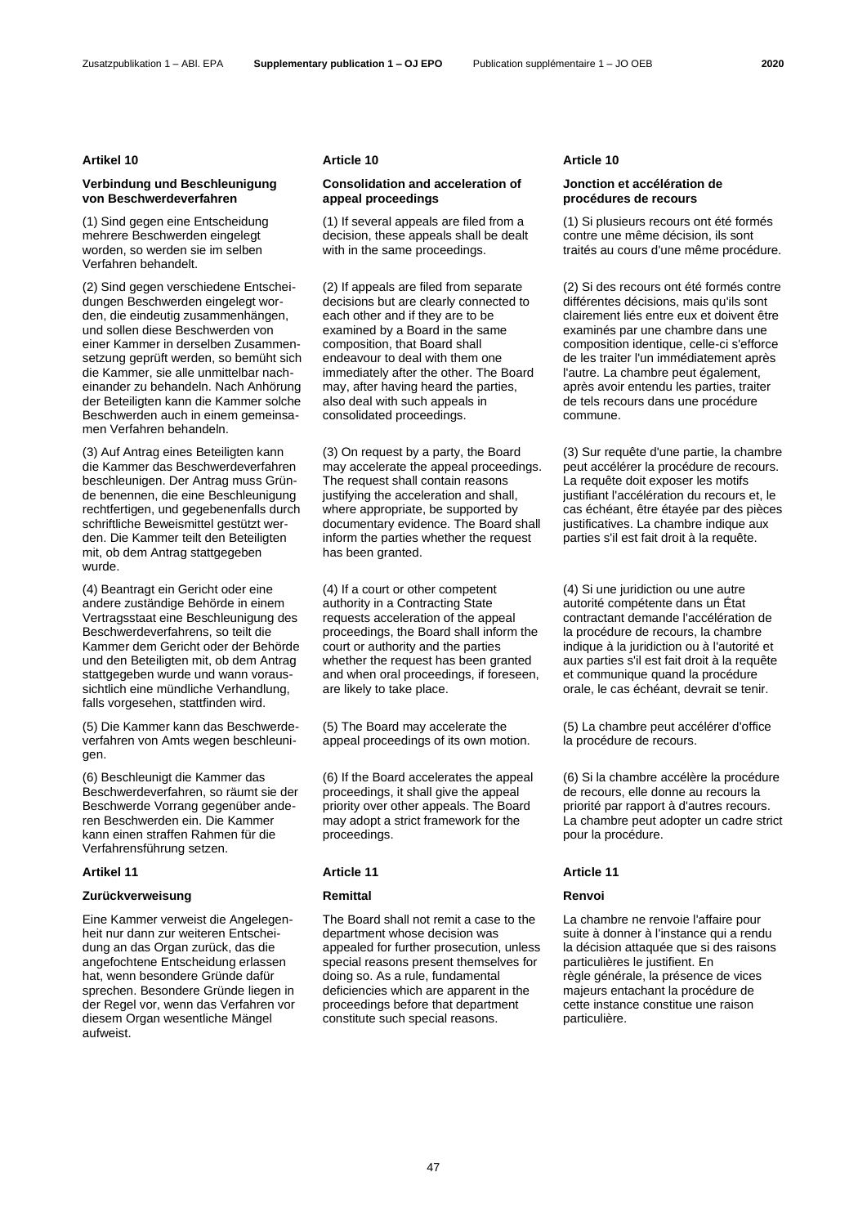## **Artikel 10 Article 10 Article 10**

# **Verbindung und Beschleunigung von Beschwerdeverfahren**

(1) Sind gegen eine Entscheidung mehrere Beschwerden eingelegt worden, so werden sie im selben Verfahren behandelt.

(2) Sind gegen verschiedene Entscheidungen Beschwerden eingelegt worden, die eindeutig zusammenhängen, und sollen diese Beschwerden von einer Kammer in derselben Zusammensetzung geprüft werden, so bemüht sich die Kammer, sie alle unmittelbar nacheinander zu behandeln. Nach Anhörung der Beteiligten kann die Kammer solche Beschwerden auch in einem gemeinsamen Verfahren behandeln.

(3) Auf Antrag eines Beteiligten kann die Kammer das Beschwerdeverfahren beschleunigen. Der Antrag muss Gründe benennen, die eine Beschleunigung rechtfertigen, und gegebenenfalls durch schriftliche Beweismittel gestützt werden. Die Kammer teilt den Beteiligten mit, ob dem Antrag stattgegeben wurde.

(4) Beantragt ein Gericht oder eine andere zuständige Behörde in einem Vertragsstaat eine Beschleunigung des Beschwerdeverfahrens, so teilt die Kammer dem Gericht oder der Behörde und den Beteiligten mit, ob dem Antrag stattgegeben wurde und wann voraussichtlich eine mündliche Verhandlung, falls vorgesehen, stattfinden wird.

(5) Die Kammer kann das Beschwerdeverfahren von Amts wegen beschleunigen.

(6) Beschleunigt die Kammer das Beschwerdeverfahren, so räumt sie der Beschwerde Vorrang gegenüber anderen Beschwerden ein. Die Kammer kann einen straffen Rahmen für die Verfahrensführung setzen.

## **Artikel 11 Article 11 Article 11**

# **Zurückverweisung Remittal Renvoi**

Eine Kammer verweist die Angelegenheit nur dann zur weiteren Entscheidung an das Organ zurück, das die angefochtene Entscheidung erlassen hat, wenn besondere Gründe dafür sprechen. Besondere Gründe liegen in der Regel vor, wenn das Verfahren vor diesem Organ wesentliche Mängel aufweist.

# **Consolidation and acceleration of appeal proceedings**

(1) If several appeals are filed from a decision, these appeals shall be dealt with in the same proceedings.

(2) If appeals are filed from separate decisions but are clearly connected to each other and if they are to be examined by a Board in the same composition, that Board shall endeavour to deal with them one immediately after the other. The Board may, after having heard the parties, also deal with such appeals in consolidated proceedings.

(3) On request by a party, the Board may accelerate the appeal proceedings. The request shall contain reasons justifying the acceleration and shall, where appropriate, be supported by documentary evidence. The Board shall inform the parties whether the request has been granted.

(4) If a court or other competent authority in a Contracting State requests acceleration of the appeal proceedings, the Board shall inform the court or authority and the parties whether the request has been granted and when oral proceedings, if foreseen, are likely to take place.

(5) The Board may accelerate the appeal proceedings of its own motion.

(6) If the Board accelerates the appeal proceedings, it shall give the appeal priority over other appeals. The Board may adopt a strict framework for the proceedings.

The Board shall not remit a case to the department whose decision was appealed for further prosecution, unless special reasons present themselves for doing so. As a rule, fundamental deficiencies which are apparent in the proceedings before that department constitute such special reasons.

# **Jonction et accélération de procédures de recours**

(1) Si plusieurs recours ont été formés contre une même décision, ils sont traités au cours d'une même procédure.

(2) Si des recours ont été formés contre différentes décisions, mais qu'ils sont clairement liés entre eux et doivent être examinés par une chambre dans une composition identique, celle-ci s'efforce de les traiter l'un immédiatement après l'autre. La chambre peut également, après avoir entendu les parties, traiter de tels recours dans une procédure commune.

(3) Sur requête d'une partie, la chambre peut accélérer la procédure de recours. La requête doit exposer les motifs justifiant l'accélération du recours et, le cas échéant, être étayée par des pièces justificatives. La chambre indique aux parties s'il est fait droit à la requête.

(4) Si une juridiction ou une autre autorité compétente dans un État contractant demande l'accélération de la procédure de recours, la chambre indique à la juridiction ou à l'autorité et aux parties s'il est fait droit à la requête et communique quand la procédure orale, le cas échéant, devrait se tenir.

(5) La chambre peut accélérer d'office la procédure de recours.

(6) Si la chambre accélère la procédure de recours, elle donne au recours la priorité par rapport à d'autres recours. La chambre peut adopter un cadre strict pour la procédure.

La chambre ne renvoie l'affaire pour suite à donner à l'instance qui a rendu la décision attaquée que si des raisons particulières le justifient. En règle générale, la présence de vices majeurs entachant la procédure de cette instance constitue une raison particulière.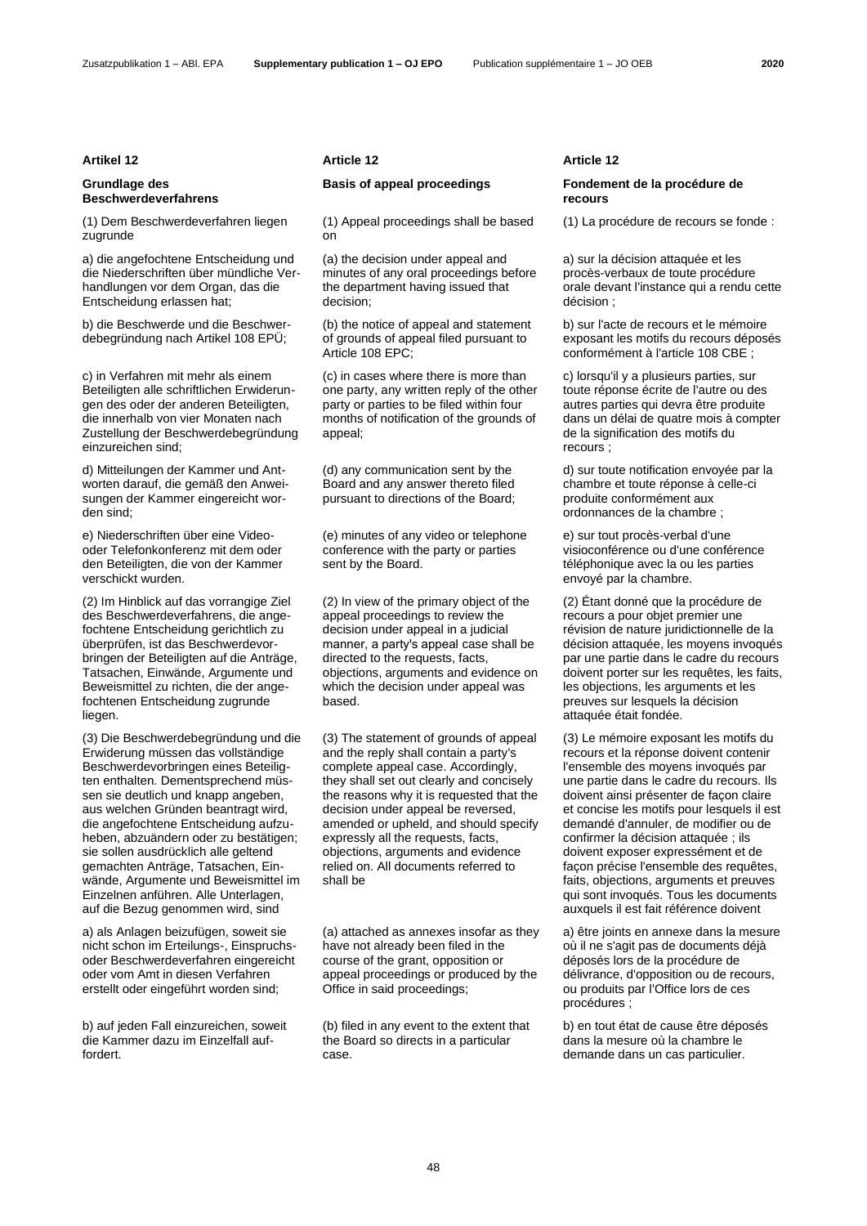# **Grundlage des Beschwerdeverfahrens**

(1) Dem Beschwerdeverfahren liegen zugrunde

a) die angefochtene Entscheidung und die Niederschriften über mündliche Verhandlungen vor dem Organ, das die Entscheidung erlassen hat;

b) die Beschwerde und die Beschwerdebegründung nach Artikel 108 EPÜ;

c) in Verfahren mit mehr als einem Beteiligten alle schriftlichen Erwiderungen des oder der anderen Beteiligten, die innerhalb von vier Monaten nach Zustellung der Beschwerdebegründung einzureichen sind;

d) Mitteilungen der Kammer und Antworten darauf, die gemäß den Anweisungen der Kammer eingereicht worden sind;

e) Niederschriften über eine Videooder Telefonkonferenz mit dem oder den Beteiligten, die von der Kammer verschickt wurden.

(2) Im Hinblick auf das vorrangige Ziel des Beschwerdeverfahrens, die angefochtene Entscheidung gerichtlich zu überprüfen, ist das Beschwerdevorbringen der Beteiligten auf die Anträge, Tatsachen, Einwände, Argumente und Beweismittel zu richten, die der angefochtenen Entscheidung zugrunde liegen.

(3) Die Beschwerdebegründung und die Erwiderung müssen das vollständige Beschwerdevorbringen eines Beteiligten enthalten. Dementsprechend müssen sie deutlich und knapp angeben, aus welchen Gründen beantragt wird, die angefochtene Entscheidung aufzuheben, abzuändern oder zu bestätigen; sie sollen ausdrücklich alle geltend gemachten Anträge, Tatsachen, Einwände, Argumente und Beweismittel im Einzelnen anführen. Alle Unterlagen, auf die Bezug genommen wird, sind

a) als Anlagen beizufügen, soweit sie nicht schon im Erteilungs-, Einspruchsoder Beschwerdeverfahren eingereicht oder vom Amt in diesen Verfahren erstellt oder eingeführt worden sind;

b) auf jeden Fall einzureichen, soweit die Kammer dazu im Einzelfall auffordert.

## **Artikel 12 Article 12 Article 12**

(1) Appeal proceedings shall be based on

(a) the decision under appeal and minutes of any oral proceedings before the department having issued that decision;

(b) the notice of appeal and statement of grounds of appeal filed pursuant to Article 108 EPC;

(c) in cases where there is more than one party, any written reply of the other party or parties to be filed within four months of notification of the grounds of appeal;

(d) any communication sent by the Board and any answer thereto filed pursuant to directions of the Board;

(e) minutes of any video or telephone conference with the party or parties sent by the Board.

(2) In view of the primary object of the appeal proceedings to review the decision under appeal in a judicial manner, a party's appeal case shall be directed to the requests, facts, objections, arguments and evidence on which the decision under appeal was based.

(3) The statement of grounds of appeal and the reply shall contain a party's complete appeal case. Accordingly, they shall set out clearly and concisely the reasons why it is requested that the decision under appeal be reversed, amended or upheld, and should specify expressly all the requests, facts, objections, arguments and evidence relied on. All documents referred to shall be

(a) attached as annexes insofar as they have not already been filed in the course of the grant, opposition or appeal proceedings or produced by the Office in said proceedings;

(b) filed in any event to the extent that the Board so directs in a particular case.

## **Basis of appeal proceedings Fondement de la procédure de recours**

(1) La procédure de recours se fonde :

a) sur la décision attaquée et les procès-verbaux de toute procédure orale devant l'instance qui a rendu cette décision ;

b) sur l'acte de recours et le mémoire exposant les motifs du recours déposés conformément à l'article 108 CBE ;

c) lorsqu'il y a plusieurs parties, sur toute réponse écrite de l'autre ou des autres parties qui devra être produite dans un délai de quatre mois à compter de la signification des motifs du recours ;

d) sur toute notification envoyée par la chambre et toute réponse à celle-ci produite conformément aux ordonnances de la chambre ;

e) sur tout procès-verbal d'une visioconférence ou d'une conférence téléphonique avec la ou les parties envoyé par la chambre.

(2) Étant donné que la procédure de recours a pour objet premier une révision de nature juridictionnelle de la décision attaquée, les moyens invoqués par une partie dans le cadre du recours doivent porter sur les requêtes, les faits, les objections, les arguments et les preuves sur lesquels la décision attaquée était fondée.

(3) Le mémoire exposant les motifs du recours et la réponse doivent contenir l'ensemble des moyens invoqués par une partie dans le cadre du recours. Ils doivent ainsi présenter de façon claire et concise les motifs pour lesquels il est demandé d'annuler, de modifier ou de confirmer la décision attaquée ; ils doivent exposer expressément et de façon précise l'ensemble des requêtes, faits, objections, arguments et preuves qui sont invoqués. Tous les documents auxquels il est fait référence doivent

a) être joints en annexe dans la mesure où il ne s'agit pas de documents déjà déposés lors de la procédure de délivrance, d'opposition ou de recours, ou produits par l'Office lors de ces procédures ;

b) en tout état de cause être déposés dans la mesure où la chambre le demande dans un cas particulier.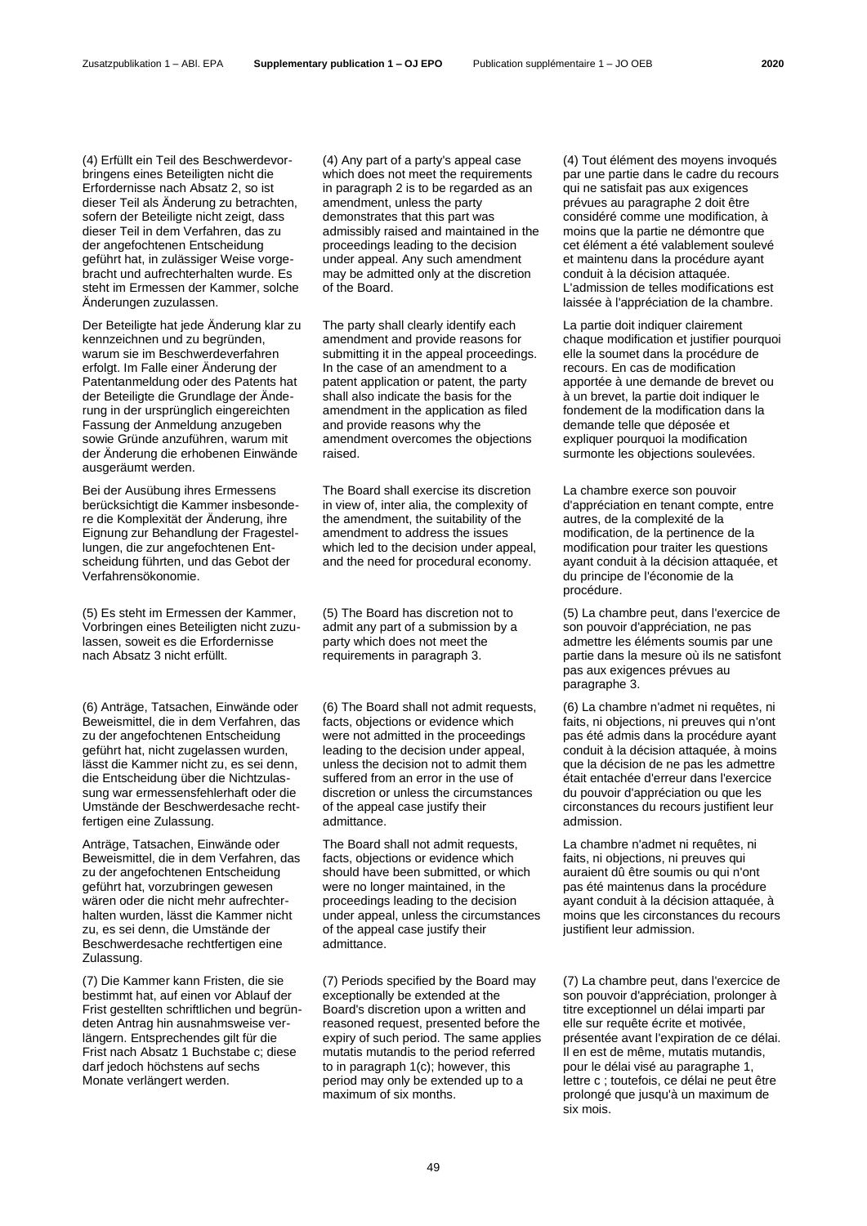(4) Erfüllt ein Teil des Beschwerdevorbringens eines Beteiligten nicht die Erfordernisse nach Absatz 2, so ist dieser Teil als Änderung zu betrachten, sofern der Beteiligte nicht zeigt, dass dieser Teil in dem Verfahren, das zu der angefochtenen Entscheidung geführt hat, in zulässiger Weise vorgebracht und aufrechterhalten wurde. Es steht im Ermessen der Kammer, solche Änderungen zuzulassen.

Der Beteiligte hat jede Änderung klar zu kennzeichnen und zu begründen, warum sie im Beschwerdeverfahren erfolgt. Im Falle einer Änderung der Patentanmeldung oder des Patents hat der Beteiligte die Grundlage der Änderung in der ursprünglich eingereichten Fassung der Anmeldung anzugeben sowie Gründe anzuführen, warum mit der Änderung die erhobenen Einwände ausgeräumt werden.

Bei der Ausübung ihres Ermessens berücksichtigt die Kammer insbesondere die Komplexität der Änderung, ihre Eignung zur Behandlung der Fragestellungen, die zur angefochtenen Entscheidung führten, und das Gebot der Verfahrensökonomie.

(5) Es steht im Ermessen der Kammer, Vorbringen eines Beteiligten nicht zuzulassen, soweit es die Erfordernisse nach Absatz 3 nicht erfüllt.

(6) Anträge, Tatsachen, Einwände oder Beweismittel, die in dem Verfahren, das zu der angefochtenen Entscheidung geführt hat, nicht zugelassen wurden, lässt die Kammer nicht zu, es sei denn, die Entscheidung über die Nichtzulassung war ermessensfehlerhaft oder die Umstände der Beschwerdesache rechtfertigen eine Zulassung.

Anträge, Tatsachen, Einwände oder Beweismittel, die in dem Verfahren, das zu der angefochtenen Entscheidung geführt hat, vorzubringen gewesen wären oder die nicht mehr aufrechterhalten wurden, lässt die Kammer nicht zu, es sei denn, die Umstände der Beschwerdesache rechtfertigen eine Zulassung.

(7) Die Kammer kann Fristen, die sie bestimmt hat, auf einen vor Ablauf der Frist gestellten schriftlichen und begründeten Antrag hin ausnahmsweise verlängern. Entsprechendes gilt für die Frist nach Absatz 1 Buchstabe c; diese darf jedoch höchstens auf sechs Monate verlängert werden.

(4) Any part of a party's appeal case which does not meet the requirements in paragraph 2 is to be regarded as an amendment, unless the party demonstrates that this part was admissibly raised and maintained in the proceedings leading to the decision under appeal. Any such amendment may be admitted only at the discretion of the Board.

The party shall clearly identify each amendment and provide reasons for submitting it in the appeal proceedings. In the case of an amendment to a patent application or patent, the party shall also indicate the basis for the amendment in the application as filed and provide reasons why the amendment overcomes the objections raised.

The Board shall exercise its discretion in view of, inter alia, the complexity of the amendment, the suitability of the amendment to address the issues which led to the decision under appeal, and the need for procedural economy.

(5) The Board has discretion not to admit any part of a submission by a party which does not meet the requirements in paragraph 3.

(6) The Board shall not admit requests, facts, objections or evidence which were not admitted in the proceedings leading to the decision under appeal, unless the decision not to admit them suffered from an error in the use of discretion or unless the circumstances of the appeal case justify their admittance.

The Board shall not admit requests, facts, objections or evidence which should have been submitted, or which were no longer maintained, in the proceedings leading to the decision under appeal, unless the circumstances of the appeal case justify their admittance.

(7) Periods specified by the Board may exceptionally be extended at the Board's discretion upon a written and reasoned request, presented before the expiry of such period. The same applies mutatis mutandis to the period referred to in paragraph 1(c); however, this period may only be extended up to a maximum of six months.

(4) Tout élément des moyens invoqués par une partie dans le cadre du recours qui ne satisfait pas aux exigences prévues au paragraphe 2 doit être considéré comme une modification, à moins que la partie ne démontre que cet élément a été valablement soulevé et maintenu dans la procédure ayant conduit à la décision attaquée. L'admission de telles modifications est laissée à l'appréciation de la chambre.

La partie doit indiquer clairement chaque modification et justifier pourquoi elle la soumet dans la procédure de recours. En cas de modification apportée à une demande de brevet ou à un brevet, la partie doit indiquer le fondement de la modification dans la demande telle que déposée et expliquer pourquoi la modification surmonte les objections soulevées.

La chambre exerce son pouvoir d'appréciation en tenant compte, entre autres, de la complexité de la modification, de la pertinence de la modification pour traiter les questions ayant conduit à la décision attaquée, et du principe de l'économie de la procédure.

(5) La chambre peut, dans l'exercice de son pouvoir d'appréciation, ne pas admettre les éléments soumis par une partie dans la mesure où ils ne satisfont pas aux exigences prévues au paragraphe 3.

(6) La chambre n'admet ni requêtes, ni faits, ni objections, ni preuves qui n'ont pas été admis dans la procédure ayant conduit à la décision attaquée, à moins que la décision de ne pas les admettre était entachée d'erreur dans l'exercice du pouvoir d'appréciation ou que les circonstances du recours justifient leur admission.

La chambre n'admet ni requêtes, ni faits, ni objections, ni preuves qui auraient dû être soumis ou qui n'ont pas été maintenus dans la procédure ayant conduit à la décision attaquée, à moins que les circonstances du recours justifient leur admission.

(7) La chambre peut, dans l'exercice de son pouvoir d'appréciation, prolonger à titre exceptionnel un délai imparti par elle sur requête écrite et motivée, présentée avant l'expiration de ce délai. Il en est de même, mutatis mutandis, pour le délai visé au paragraphe 1, lettre c ; toutefois, ce délai ne peut être prolongé que jusqu'à un maximum de six mois.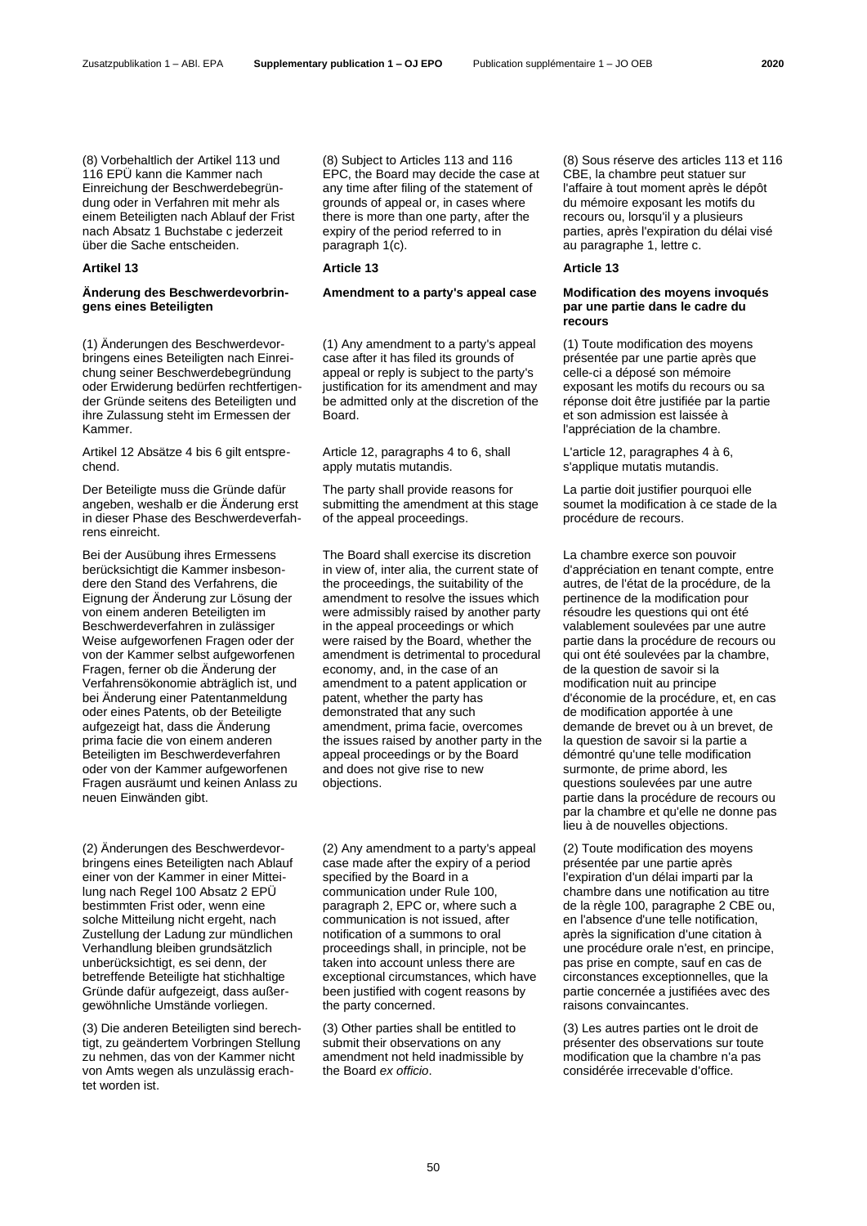(8) Vorbehaltlich der Artikel 113 und 116 EPÜ kann die Kammer nach Einreichung der Beschwerdebegründung oder in Verfahren mit mehr als einem Beteiligten nach Ablauf der Frist nach Absatz 1 Buchstabe c jederzeit über die Sache entscheiden.

## **Artikel 13 Article 13 Article 13**

# **Änderung des Beschwerdevorbringens eines Beteiligten**

(1) Änderungen des Beschwerdevorbringens eines Beteiligten nach Einreichung seiner Beschwerdebegründung oder Erwiderung bedürfen rechtfertigender Gründe seitens des Beteiligten und ihre Zulassung steht im Ermessen der Kammer.

Artikel 12 Absätze 4 bis 6 gilt entsprechend.

Der Beteiligte muss die Gründe dafür angeben, weshalb er die Änderung erst in dieser Phase des Beschwerdeverfahrens einreicht.

Bei der Ausübung ihres Ermessens berücksichtigt die Kammer insbesondere den Stand des Verfahrens, die Eignung der Änderung zur Lösung der von einem anderen Beteiligten im Beschwerdeverfahren in zulässiger Weise aufgeworfenen Fragen oder der von der Kammer selbst aufgeworfenen Fragen, ferner ob die Änderung der Verfahrensökonomie abträglich ist, und bei Änderung einer Patentanmeldung oder eines Patents, ob der Beteiligte aufgezeigt hat, dass die Änderung prima facie die von einem anderen Beteiligten im Beschwerdeverfahren oder von der Kammer aufgeworfenen Fragen ausräumt und keinen Anlass zu neuen Einwänden gibt.

(2) Änderungen des Beschwerdevorbringens eines Beteiligten nach Ablauf einer von der Kammer in einer Mitteilung nach Regel 100 Absatz 2 EPÜ bestimmten Frist oder, wenn eine solche Mitteilung nicht ergeht, nach Zustellung der Ladung zur mündlichen Verhandlung bleiben grundsätzlich unberücksichtigt, es sei denn, der betreffende Beteiligte hat stichhaltige Gründe dafür aufgezeigt, dass außergewöhnliche Umstände vorliegen.

(3) Die anderen Beteiligten sind berechtigt, zu geändertem Vorbringen Stellung zu nehmen, das von der Kammer nicht von Amts wegen als unzulässig erachtet worden ist.

(8) Subject to Articles 113 and 116 EPC, the Board may decide the case at any time after filing of the statement of grounds of appeal or, in cases where there is more than one party, after the expiry of the period referred to in paragraph 1(c).

(1) Any amendment to a party's appeal case after it has filed its grounds of appeal or reply is subject to the party's justification for its amendment and may be admitted only at the discretion of the Board.

Article 12, paragraphs 4 to 6, shall apply mutatis mutandis.

The party shall provide reasons for submitting the amendment at this stage of the appeal proceedings.

The Board shall exercise its discretion in view of, inter alia, the current state of the proceedings, the suitability of the amendment to resolve the issues which were admissibly raised by another party in the appeal proceedings or which were raised by the Board, whether the amendment is detrimental to procedural economy, and, in the case of an amendment to a patent application or patent, whether the party has demonstrated that any such amendment, prima facie, overcomes the issues raised by another party in the appeal proceedings or by the Board and does not give rise to new objections.

(2) Any amendment to a party's appeal case made after the expiry of a period specified by the Board in a communication under Rule 100, paragraph 2, EPC or, where such a communication is not issued, after notification of a summons to oral proceedings shall, in principle, not be taken into account unless there are exceptional circumstances, which have been justified with cogent reasons by the party concerned.

(3) Other parties shall be entitled to submit their observations on any amendment not held inadmissible by the Board *ex officio*.

(8) Sous réserve des articles 113 et 116 CBE, la chambre peut statuer sur l'affaire à tout moment après le dépôt du mémoire exposant les motifs du recours ou, lorsqu'il y a plusieurs parties, après l'expiration du délai visé au paragraphe 1, lettre c.

## **Amendment to a party's appeal case Modification des moyens invoqués par une partie dans le cadre du recours**

(1) Toute modification des moyens présentée par une partie après que celle-ci a déposé son mémoire exposant les motifs du recours ou sa réponse doit être justifiée par la partie et son admission est laissée à l'appréciation de la chambre.

L'article 12, paragraphes 4 à 6, s'applique mutatis mutandis.

La partie doit justifier pourquoi elle soumet la modification à ce stade de la procédure de recours.

La chambre exerce son pouvoir d'appréciation en tenant compte, entre autres, de l'état de la procédure, de la pertinence de la modification pour résoudre les questions qui ont été valablement soulevées par une autre partie dans la procédure de recours ou qui ont été soulevées par la chambre, de la question de savoir si la modification nuit au principe d'économie de la procédure, et, en cas de modification apportée à une demande de brevet ou à un brevet, de la question de savoir si la partie a démontré qu'une telle modification surmonte, de prime abord, les questions soulevées par une autre partie dans la procédure de recours ou par la chambre et qu'elle ne donne pas lieu à de nouvelles objections.

(2) Toute modification des moyens présentée par une partie après l'expiration d'un délai imparti par la chambre dans une notification au titre de la règle 100, paragraphe 2 CBE ou, en l'absence d'une telle notification, après la signification d'une citation à une procédure orale n'est, en principe, pas prise en compte, sauf en cas de circonstances exceptionnelles, que la partie concernée a justifiées avec des raisons convaincantes.

(3) Les autres parties ont le droit de présenter des observations sur toute modification que la chambre n'a pas considérée irrecevable d'office.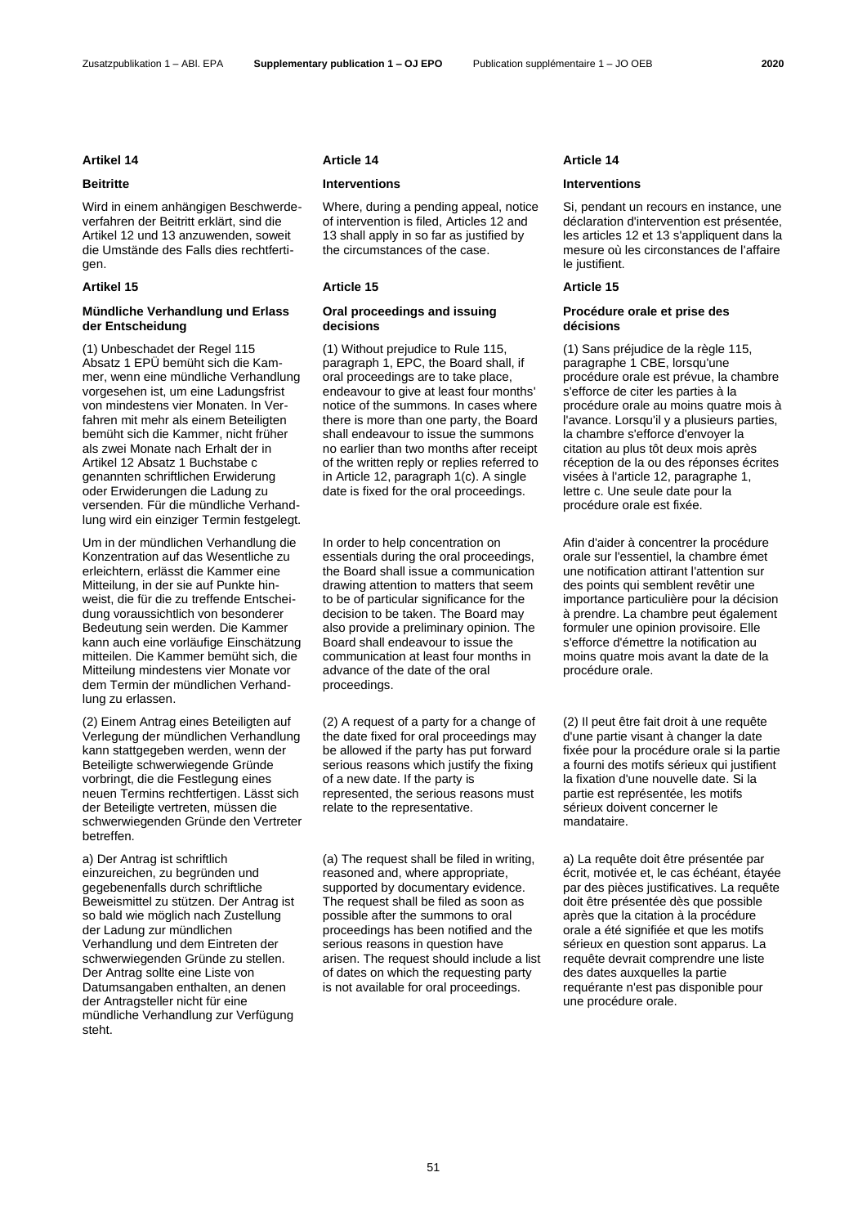## Zusatzpublikation 1 – ABl. EPA **Supplementary publication 1 – OJ EPO** Publication supplémentaire 1 – JO OEB **2020**

Wird in einem anhängigen Beschwerdeverfahren der Beitritt erklärt, sind die Artikel 12 und 13 anzuwenden, soweit die Umstände des Falls dies rechtfertigen.

# **Mündliche Verhandlung und Erlass der Entscheidung**

(1) Unbeschadet der Regel 115 Absatz 1 EPÜ bemüht sich die Kammer, wenn eine mündliche Verhandlung vorgesehen ist, um eine Ladungsfrist von mindestens vier Monaten. In Verfahren mit mehr als einem Beteiligten bemüht sich die Kammer, nicht früher als zwei Monate nach Erhalt der in Artikel 12 Absatz 1 Buchstabe c genannten schriftlichen Erwiderung oder Erwiderungen die Ladung zu versenden. Für die mündliche Verhandlung wird ein einziger Termin festgelegt.

Um in der mündlichen Verhandlung die Konzentration auf das Wesentliche zu erleichtern, erlässt die Kammer eine Mitteilung, in der sie auf Punkte hinweist, die für die zu treffende Entscheidung voraussichtlich von besonderer Bedeutung sein werden. Die Kammer kann auch eine vorläufige Einschätzung mitteilen. Die Kammer bemüht sich, die Mitteilung mindestens vier Monate vor dem Termin der mündlichen Verhandlung zu erlassen.

(2) Einem Antrag eines Beteiligten auf Verlegung der mündlichen Verhandlung kann stattgegeben werden, wenn der Beteiligte schwerwiegende Gründe vorbringt, die die Festlegung eines neuen Termins rechtfertigen. Lässt sich der Beteiligte vertreten, müssen die schwerwiegenden Gründe den Vertreter betreffen.

a) Der Antrag ist schriftlich einzureichen, zu begründen und gegebenenfalls durch schriftliche Beweismittel zu stützen. Der Antrag ist so bald wie möglich nach Zustellung der Ladung zur mündlichen Verhandlung und dem Eintreten der schwerwiegenden Gründe zu stellen. Der Antrag sollte eine Liste von Datumsangaben enthalten, an denen der Antragsteller nicht für eine mündliche Verhandlung zur Verfügung steht.

Where, during a pending appeal, notice of intervention is filed, Articles 12 and 13 shall apply in so far as justified by the circumstances of the case.

## **Artikel 15 Article 15 Article 15**

## **Oral proceedings and issuing decisions**

(1) Without prejudice to Rule 115, paragraph 1, EPC, the Board shall, if oral proceedings are to take place, endeavour to give at least four months' notice of the summons. In cases where there is more than one party, the Board shall endeavour to issue the summons no earlier than two months after receipt of the written reply or replies referred to in Article 12, paragraph 1(c). A single date is fixed for the oral proceedings.

In order to help concentration on essentials during the oral proceedings, the Board shall issue a communication drawing attention to matters that seem to be of particular significance for the decision to be taken. The Board may also provide a preliminary opinion. The Board shall endeavour to issue the communication at least four months in advance of the date of the oral proceedings.

(2) A request of a party for a change of the date fixed for oral proceedings may be allowed if the party has put forward serious reasons which justify the fixing of a new date. If the party is represented, the serious reasons must relate to the representative.

(a) The request shall be filed in writing, reasoned and, where appropriate, supported by documentary evidence. The request shall be filed as soon as possible after the summons to oral proceedings has been notified and the serious reasons in question have arisen. The request should include a list of dates on which the requesting party is not available for oral proceedings.

## **Artikel 14 Article 14 Article 14**

## **Beitritte Interventions Interventions**

Si, pendant un recours en instance, une déclaration d'intervention est présentée, les articles 12 et 13 s'appliquent dans la mesure où les circonstances de l'affaire le justifient.

## **Procédure orale et prise des décisions**

(1) Sans préjudice de la règle 115, paragraphe 1 CBE, lorsqu'une procédure orale est prévue, la chambre s'efforce de citer les parties à la procédure orale au moins quatre mois à l'avance. Lorsqu'il y a plusieurs parties, la chambre s'efforce d'envoyer la citation au plus tôt deux mois après réception de la ou des réponses écrites visées à l'article 12, paragraphe 1, lettre c. Une seule date pour la procédure orale est fixée.

Afin d'aider à concentrer la procédure orale sur l'essentiel, la chambre émet une notification attirant l'attention sur des points qui semblent revêtir une importance particulière pour la décision à prendre. La chambre peut également formuler une opinion provisoire. Elle s'efforce d'émettre la notification au moins quatre mois avant la date de la procédure orale.

(2) Il peut être fait droit à une requête d'une partie visant à changer la date fixée pour la procédure orale si la partie a fourni des motifs sérieux qui justifient la fixation d'une nouvelle date. Si la partie est représentée, les motifs sérieux doivent concerner le mandataire.

a) La requête doit être présentée par écrit, motivée et, le cas échéant, étayée par des pièces justificatives. La requête doit être présentée dès que possible après que la citation à la procédure orale a été signifiée et que les motifs sérieux en question sont apparus. La requête devrait comprendre une liste des dates auxquelles la partie requérante n'est pas disponible pour une procédure orale.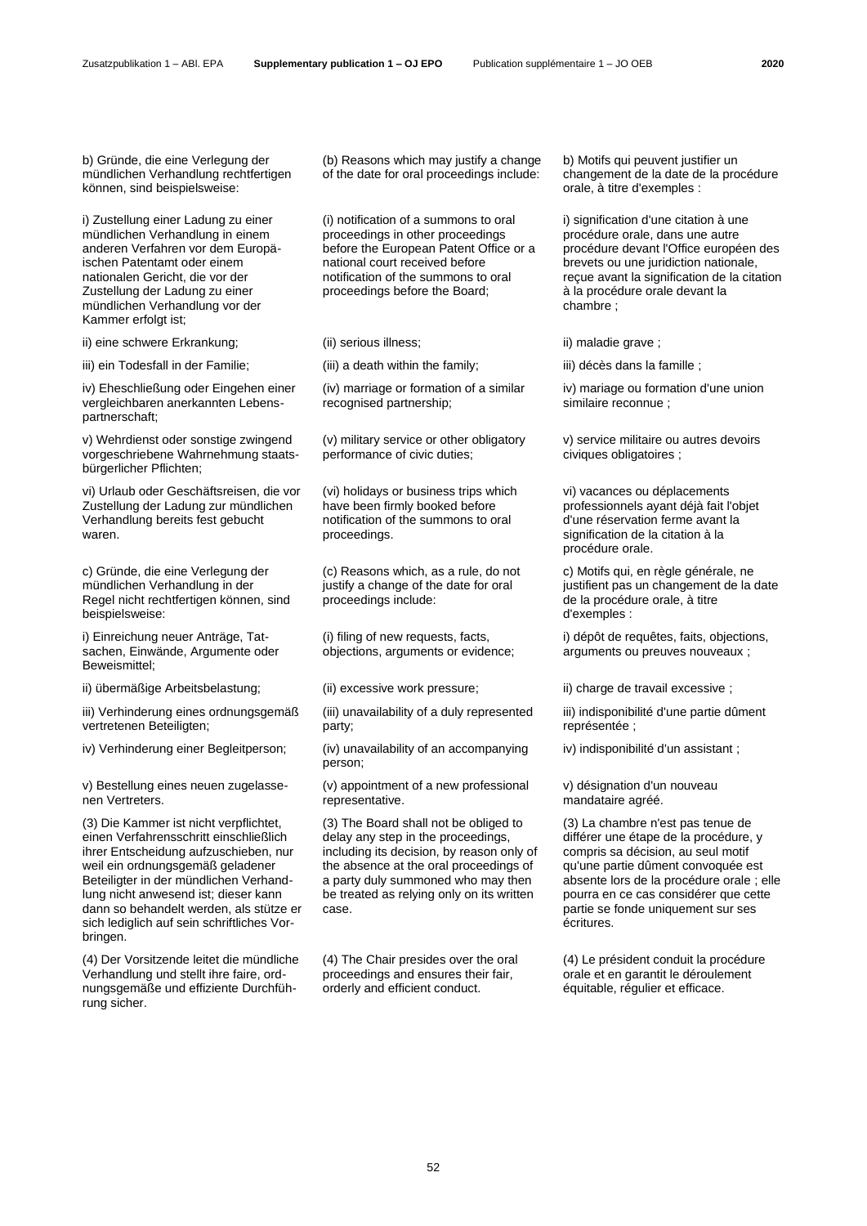b) Gründe, die eine Verlegung der mündlichen Verhandlung rechtfertigen können, sind beispielsweise:

i) Zustellung einer Ladung zu einer mündlichen Verhandlung in einem anderen Verfahren vor dem Europäischen Patentamt oder einem nationalen Gericht, die vor der Zustellung der Ladung zu einer mündlichen Verhandlung vor der Kammer erfolgt ist;

ii) eine schwere Erkrankung; (ii) serious illness; iii) maladie grave ;

iii) ein Todesfall in der Familie; (iii) a death within the family; iii) décès dans la famille ;

iv) Eheschließung oder Eingehen einer vergleichbaren anerkannten Lebenspartnerschaft;

v) Wehrdienst oder sonstige zwingend vorgeschriebene Wahrnehmung staatsbürgerlicher Pflichten;

vi) Urlaub oder Geschäftsreisen, die vor Zustellung der Ladung zur mündlichen Verhandlung bereits fest gebucht waren.

c) Gründe, die eine Verlegung der mündlichen Verhandlung in der Regel nicht rechtfertigen können, sind beispielsweise:

i) Einreichung neuer Anträge, Tatsachen, Einwände, Argumente oder Beweismittel;

ii) übermäßige Arbeitsbelastung; (ii) excessive work pressure; iii) charge de travail excessive ;

iii) Verhinderung eines ordnungsgemäß vertretenen Beteiligten;

v) Bestellung eines neuen zugelassenen Vertreters.

(3) Die Kammer ist nicht verpflichtet, einen Verfahrensschritt einschließlich ihrer Entscheidung aufzuschieben, nur weil ein ordnungsgemäß geladener Beteiligter in der mündlichen Verhandlung nicht anwesend ist; dieser kann dann so behandelt werden, als stütze er sich lediglich auf sein schriftliches Vorbringen.

(4) Der Vorsitzende leitet die mündliche Verhandlung und stellt ihre faire, ordnungsgemäße und effiziente Durchführung sicher.

(b) Reasons which may justify a change of the date for oral proceedings include:

(i) notification of a summons to oral proceedings in other proceedings before the European Patent Office or a national court received before notification of the summons to oral proceedings before the Board;

(iv) marriage or formation of a similar recognised partnership;

(v) military service or other obligatory performance of civic duties;

(vi) holidays or business trips which have been firmly booked before notification of the summons to oral proceedings.

(c) Reasons which, as a rule, do not justify a change of the date for oral proceedings include:

(i) filing of new requests, facts, objections, arguments or evidence;

(iii) unavailability of a duly represented party;

iv) Verhinderung einer Begleitperson; (iv) unavailability of an accompanying person;

> (v) appointment of a new professional representative.

(3) The Board shall not be obliged to delay any step in the proceedings, including its decision, by reason only of the absence at the oral proceedings of a party duly summoned who may then be treated as relying only on its written case.

(4) The Chair presides over the oral proceedings and ensures their fair, orderly and efficient conduct.

b) Motifs qui peuvent justifier un changement de la date de la procédure orale, à titre d'exemples :

i) signification d'une citation à une procédure orale, dans une autre procédure devant l'Office européen des brevets ou une juridiction nationale, reçue avant la signification de la citation à la procédure orale devant la chambre ;

iv) mariage ou formation d'une union similaire reconnue ;

v) service militaire ou autres devoirs civiques obligatoires ;

vi) vacances ou déplacements professionnels ayant déjà fait l'objet d'une réservation ferme avant la signification de la citation à la procédure orale.

c) Motifs qui, en règle générale, ne justifient pas un changement de la date de la procédure orale, à titre d'exemples :

i) dépôt de requêtes, faits, objections, arguments ou preuves nouveaux ;

iii) indisponibilité d'une partie dûment représentée ;

iv) indisponibilité d'un assistant ;

v) désignation d'un nouveau mandataire agréé.

(3) La chambre n'est pas tenue de différer une étape de la procédure, y compris sa décision, au seul motif qu'une partie dûment convoquée est absente lors de la procédure orale ; elle pourra en ce cas considérer que cette partie se fonde uniquement sur ses écritures.

(4) Le président conduit la procédure orale et en garantit le déroulement équitable, régulier et efficace.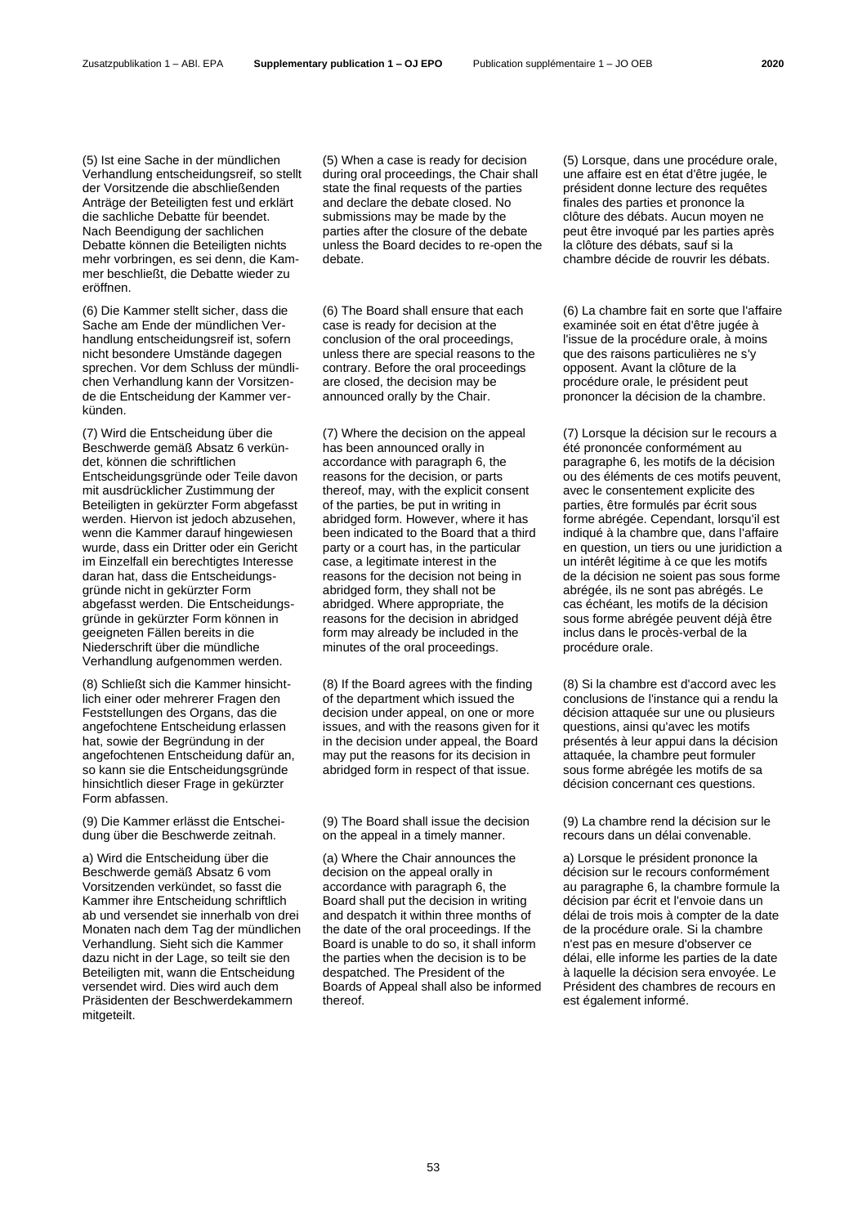(5) Ist eine Sache in der mündlichen Verhandlung entscheidungsreif, so stellt der Vorsitzende die abschließenden Anträge der Beteiligten fest und erklärt die sachliche Debatte für beendet. Nach Beendigung der sachlichen Debatte können die Beteiligten nichts mehr vorbringen, es sei denn, die Kammer beschließt, die Debatte wieder zu eröffnen.

(6) Die Kammer stellt sicher, dass die Sache am Ende der mündlichen Verhandlung entscheidungsreif ist, sofern nicht besondere Umstände dagegen sprechen. Vor dem Schluss der mündlichen Verhandlung kann der Vorsitzende die Entscheidung der Kammer verkünden.

(7) Wird die Entscheidung über die Beschwerde gemäß Absatz 6 verkündet, können die schriftlichen Entscheidungsgründe oder Teile davon mit ausdrücklicher Zustimmung der Beteiligten in gekürzter Form abgefasst werden. Hiervon ist jedoch abzusehen, wenn die Kammer darauf hingewiesen wurde, dass ein Dritter oder ein Gericht im Einzelfall ein berechtigtes Interesse daran hat, dass die Entscheidungsgründe nicht in gekürzter Form abgefasst werden. Die Entscheidungsgründe in gekürzter Form können in geeigneten Fällen bereits in die Niederschrift über die mündliche Verhandlung aufgenommen werden.

(8) Schließt sich die Kammer hinsichtlich einer oder mehrerer Fragen den Feststellungen des Organs, das die angefochtene Entscheidung erlassen hat, sowie der Begründung in der angefochtenen Entscheidung dafür an, so kann sie die Entscheidungsgründe hinsichtlich dieser Frage in gekürzter Form abfassen.

(9) Die Kammer erlässt die Entscheidung über die Beschwerde zeitnah.

a) Wird die Entscheidung über die Beschwerde gemäß Absatz 6 vom Vorsitzenden verkündet, so fasst die Kammer ihre Entscheidung schriftlich ab und versendet sie innerhalb von drei Monaten nach dem Tag der mündlichen Verhandlung. Sieht sich die Kammer dazu nicht in der Lage, so teilt sie den Beteiligten mit, wann die Entscheidung versendet wird. Dies wird auch dem Präsidenten der Beschwerdekammern mitgeteilt.

(5) When a case is ready for decision during oral proceedings, the Chair shall state the final requests of the parties and declare the debate closed. No submissions may be made by the parties after the closure of the debate unless the Board decides to re-open the debate.

(6) The Board shall ensure that each case is ready for decision at the conclusion of the oral proceedings, unless there are special reasons to the contrary. Before the oral proceedings are closed, the decision may be announced orally by the Chair.

(7) Where the decision on the appeal has been announced orally in accordance with paragraph 6, the reasons for the decision, or parts thereof, may, with the explicit consent of the parties, be put in writing in abridged form. However, where it has been indicated to the Board that a third party or a court has, in the particular case, a legitimate interest in the reasons for the decision not being in abridged form, they shall not be abridged. Where appropriate, the reasons for the decision in abridged form may already be included in the minutes of the oral proceedings.

(8) If the Board agrees with the finding of the department which issued the decision under appeal, on one or more issues, and with the reasons given for it in the decision under appeal, the Board may put the reasons for its decision in abridged form in respect of that issue.

(9) The Board shall issue the decision on the appeal in a timely manner.

(a) Where the Chair announces the decision on the appeal orally in accordance with paragraph 6, the Board shall put the decision in writing and despatch it within three months of the date of the oral proceedings. If the Board is unable to do so, it shall inform the parties when the decision is to be despatched. The President of the Boards of Appeal shall also be informed thereof.

(5) Lorsque, dans une procédure orale, une affaire est en état d'être jugée, le président donne lecture des requêtes finales des parties et prononce la clôture des débats. Aucun moyen ne peut être invoqué par les parties après la clôture des débats, sauf si la chambre décide de rouvrir les débats.

(6) La chambre fait en sorte que l'affaire examinée soit en état d'être jugée à l'issue de la procédure orale, à moins que des raisons particulières ne s'y opposent. Avant la clôture de la procédure orale, le président peut prononcer la décision de la chambre.

(7) Lorsque la décision sur le recours a été prononcée conformément au paragraphe 6, les motifs de la décision ou des éléments de ces motifs peuvent, avec le consentement explicite des parties, être formulés par écrit sous forme abrégée. Cependant, lorsqu'il est indiqué à la chambre que, dans l'affaire en question, un tiers ou une juridiction a un intérêt légitime à ce que les motifs de la décision ne soient pas sous forme abrégée, ils ne sont pas abrégés. Le cas échéant, les motifs de la décision sous forme abrégée peuvent déjà être inclus dans le procès-verbal de la procédure orale.

(8) Si la chambre est d'accord avec les conclusions de l'instance qui a rendu la décision attaquée sur une ou plusieurs questions, ainsi qu'avec les motifs présentés à leur appui dans la décision attaquée, la chambre peut formuler sous forme abrégée les motifs de sa décision concernant ces questions.

(9) La chambre rend la décision sur le recours dans un délai convenable.

a) Lorsque le président prononce la décision sur le recours conformément au paragraphe 6, la chambre formule la décision par écrit et l'envoie dans un délai de trois mois à compter de la date de la procédure orale. Si la chambre n'est pas en mesure d'observer ce délai, elle informe les parties de la date à laquelle la décision sera envoyée. Le Président des chambres de recours en est également informé.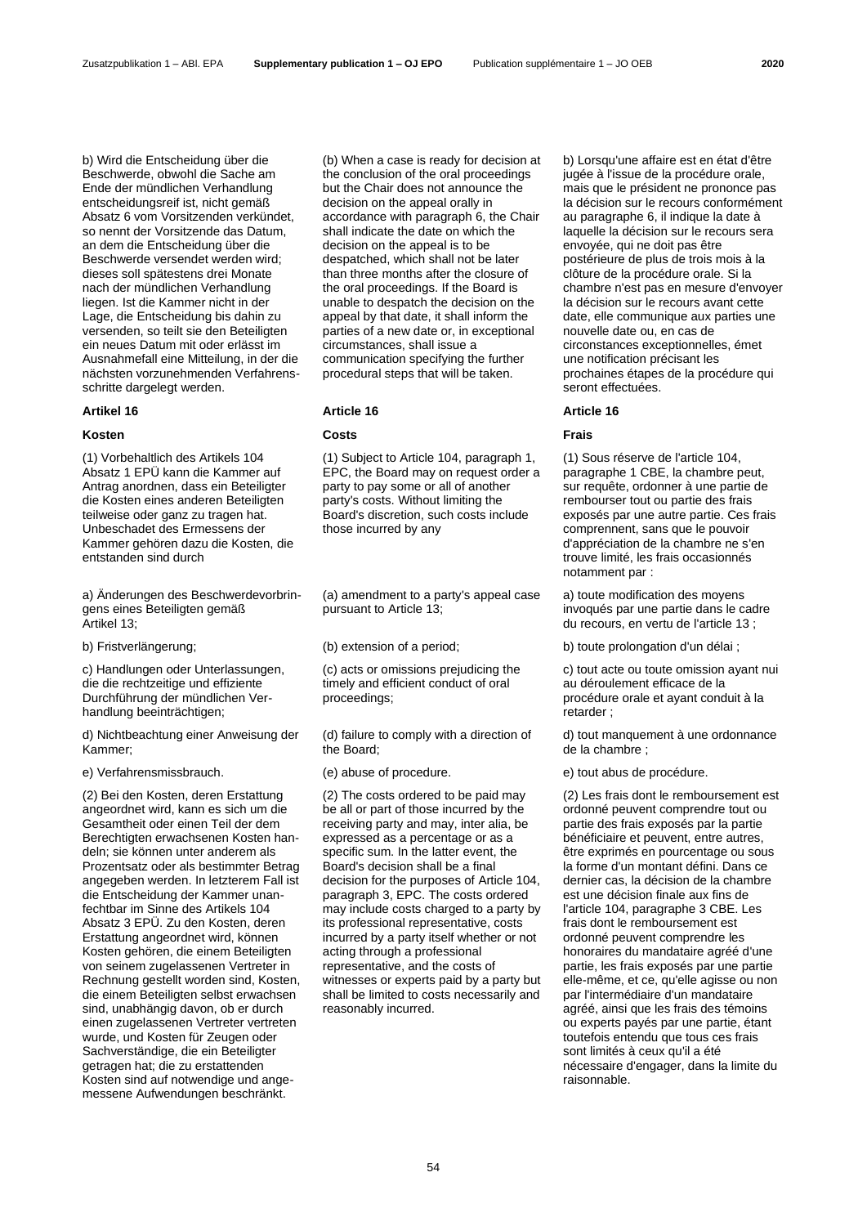b) Wird die Entscheidung über die Beschwerde, obwohl die Sache am Ende der mündlichen Verhandlung entscheidungsreif ist, nicht gemäß Absatz 6 vom Vorsitzenden verkündet, so nennt der Vorsitzende das Datum, an dem die Entscheidung über die Beschwerde versendet werden wird; dieses soll spätestens drei Monate nach der mündlichen Verhandlung liegen. Ist die Kammer nicht in der Lage, die Entscheidung bis dahin zu versenden, so teilt sie den Beteiligten ein neues Datum mit oder erlässt im Ausnahmefall eine Mitteilung, in der die nächsten vorzunehmenden Verfahrensschritte dargelegt werden.

# **Kosten Costs Frais**

(1) Vorbehaltlich des Artikels 104 Absatz 1 EPÜ kann die Kammer auf Antrag anordnen, dass ein Beteiligter die Kosten eines anderen Beteiligten teilweise oder ganz zu tragen hat. Unbeschadet des Ermessens der Kammer gehören dazu die Kosten, die entstanden sind durch

a) Änderungen des Beschwerdevorbringens eines Beteiligten gemäß Artikel 13;

c) Handlungen oder Unterlassungen, die die rechtzeitige und effiziente Durchführung der mündlichen Verhandlung beeinträchtigen;

d) Nichtbeachtung einer Anweisung der Kammer;

(2) Bei den Kosten, deren Erstattung angeordnet wird, kann es sich um die Gesamtheit oder einen Teil der dem Berechtigten erwachsenen Kosten handeln; sie können unter anderem als Prozentsatz oder als bestimmter Betrag angegeben werden. In letzterem Fall ist die Entscheidung der Kammer unanfechtbar im Sinne des Artikels 104 Absatz 3 EPÜ. Zu den Kosten, deren Erstattung angeordnet wird, können Kosten gehören, die einem Beteiligten von seinem zugelassenen Vertreter in Rechnung gestellt worden sind, Kosten, die einem Beteiligten selbst erwachsen sind, unabhängig davon, ob er durch einen zugelassenen Vertreter vertreten wurde, und Kosten für Zeugen oder Sachverständige, die ein Beteiligter getragen hat; die zu erstattenden Kosten sind auf notwendige und angemessene Aufwendungen beschränkt.

(b) When a case is ready for decision at the conclusion of the oral proceedings but the Chair does not announce the decision on the appeal orally in accordance with paragraph 6, the Chair shall indicate the date on which the decision on the appeal is to be despatched, which shall not be later than three months after the closure of the oral proceedings. If the Board is unable to despatch the decision on the appeal by that date, it shall inform the parties of a new date or, in exceptional circumstances, shall issue a communication specifying the further procedural steps that will be taken.

(1) Subject to Article 104, paragraph 1, EPC, the Board may on request order a party to pay some or all of another party's costs. Without limiting the Board's discretion, such costs include those incurred by any

(a) amendment to a party's appeal case pursuant to Article 13;

(c) acts or omissions prejudicing the timely and efficient conduct of oral proceedings;

(d) failure to comply with a direction of the Board;

(2) The costs ordered to be paid may be all or part of those incurred by the receiving party and may, inter alia, be expressed as a percentage or as a specific sum. In the latter event, the Board's decision shall be a final decision for the purposes of Article 104, paragraph 3, EPC. The costs ordered may include costs charged to a party by its professional representative, costs incurred by a party itself whether or not acting through a professional representative, and the costs of witnesses or experts paid by a party but shall be limited to costs necessarily and reasonably incurred.

b) Lorsqu'une affaire est en état d'être jugée à l'issue de la procédure orale, mais que le président ne prononce pas la décision sur le recours conformément au paragraphe 6, il indique la date à laquelle la décision sur le recours sera envoyée, qui ne doit pas être postérieure de plus de trois mois à la clôture de la procédure orale. Si la chambre n'est pas en mesure d'envoyer la décision sur le recours avant cette date, elle communique aux parties une nouvelle date ou, en cas de circonstances exceptionnelles, émet une notification précisant les prochaines étapes de la procédure qui seront effectuées.

# **Artikel 16 Article 16 Article 16**

(1) Sous réserve de l'article 104, paragraphe 1 CBE, la chambre peut, sur requête, ordonner à une partie de rembourser tout ou partie des frais exposés par une autre partie. Ces frais comprennent, sans que le pouvoir d'appréciation de la chambre ne s'en trouve limité, les frais occasionnés notamment par :

a) toute modification des moyens invoqués par une partie dans le cadre du recours, en vertu de l'article 13 ;

b) Fristverlängerung; (b) extension of a period; b) toute prolongation d'un délai ;

c) tout acte ou toute omission ayant nui au déroulement efficace de la procédure orale et ayant conduit à la retarder ;

d) tout manquement à une ordonnance de la chambre ;

e) Verfahrensmissbrauch. (e) abuse of procedure. e) tout abus de procédure.

(2) Les frais dont le remboursement est ordonné peuvent comprendre tout ou partie des frais exposés par la partie bénéficiaire et peuvent, entre autres, être exprimés en pourcentage ou sous la forme d'un montant défini. Dans ce dernier cas, la décision de la chambre est une décision finale aux fins de l'article 104, paragraphe 3 CBE. Les frais dont le remboursement est ordonné peuvent comprendre les honoraires du mandataire agréé d'une partie, les frais exposés par une partie elle-même, et ce, qu'elle agisse ou non par l'intermédiaire d'un mandataire agréé, ainsi que les frais des témoins ou experts payés par une partie, étant toutefois entendu que tous ces frais sont limités à ceux qu'il a été nécessaire d'engager, dans la limite du raisonnable.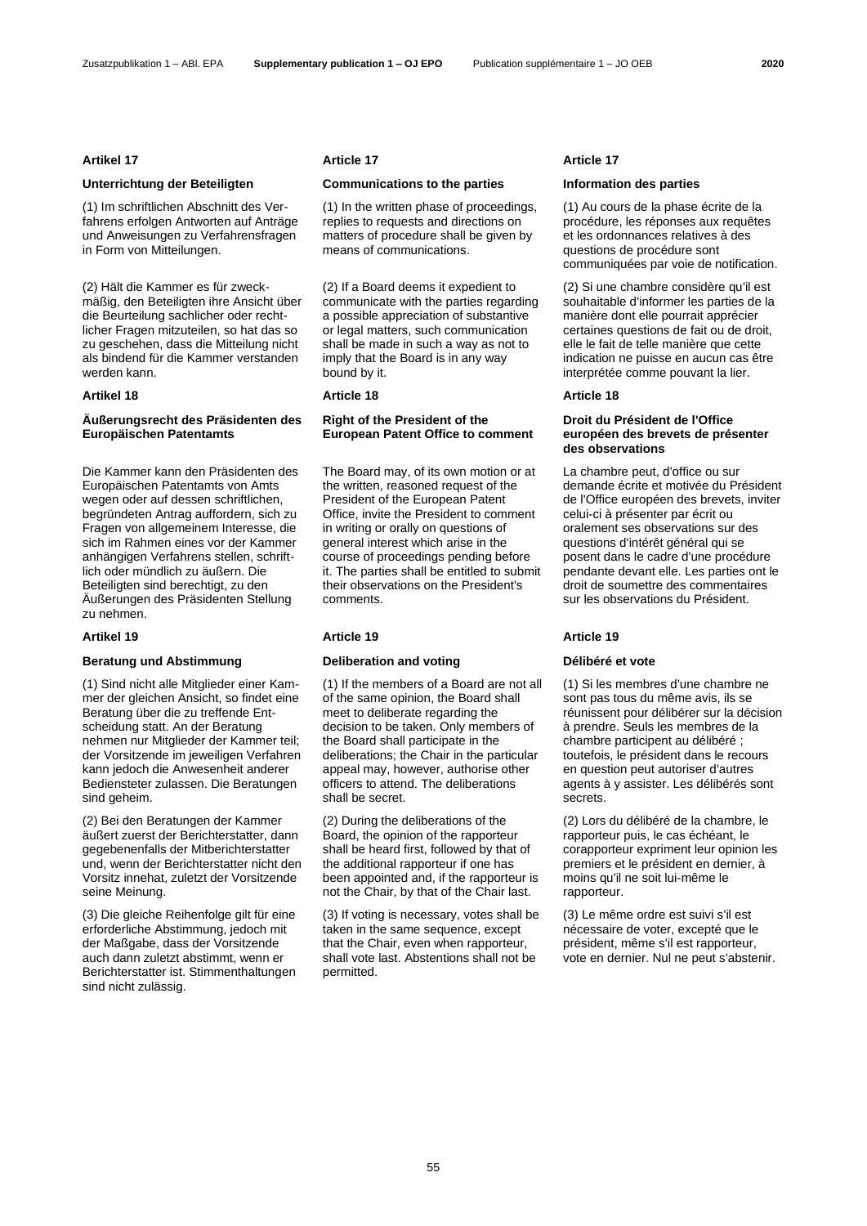(1) Im schriftlichen Abschnitt des Verfahrens erfolgen Antworten auf Anträge und Anweisungen zu Verfahrensfragen in Form von Mitteilungen.

(2) Hält die Kammer es für zweckmäßig, den Beteiligten ihre Ansicht über die Beurteilung sachlicher oder rechtlicher Fragen mitzuteilen, so hat das so zu geschehen, dass die Mitteilung nicht als bindend für die Kammer verstanden werden kann.

# **Äußerungsrecht des Präsidenten des Europäischen Patentamts**

Die Kammer kann den Präsidenten des Europäischen Patentamts von Amts wegen oder auf dessen schriftlichen, begründeten Antrag auffordern, sich zu Fragen von allgemeinem Interesse, die sich im Rahmen eines vor der Kammer anhängigen Verfahrens stellen, schriftlich oder mündlich zu äußern. Die Beteiligten sind berechtigt, zu den Äußerungen des Präsidenten Stellung zu nehmen.

## **Beratung und Abstimmung Deliberation and voting Délibéré et vote**

(1) Sind nicht alle Mitglieder einer Kammer der gleichen Ansicht, so findet eine Beratung über die zu treffende Entscheidung statt. An der Beratung nehmen nur Mitglieder der Kammer teil; der Vorsitzende im jeweiligen Verfahren kann jedoch die Anwesenheit anderer Bediensteter zulassen. Die Beratungen sind geheim.

(2) Bei den Beratungen der Kammer äußert zuerst der Berichterstatter, dann gegebenenfalls der Mitberichterstatter und, wenn der Berichterstatter nicht den Vorsitz innehat, zuletzt der Vorsitzende seine Meinung.

(3) Die gleiche Reihenfolge gilt für eine erforderliche Abstimmung, jedoch mit der Maßgabe, dass der Vorsitzende auch dann zuletzt abstimmt, wenn er Berichterstatter ist. Stimmenthaltungen sind nicht zulässig.

## **Artikel 17 Article 17 Article 17**

## **Unterrichtung der Beteiligten Communications to the parties Information des parties**

(1) In the written phase of proceedings, replies to requests and directions on matters of procedure shall be given by means of communications.

(2) If a Board deems it expedient to communicate with the parties regarding a possible appreciation of substantive or legal matters, such communication shall be made in such a way as not to imply that the Board is in any way bound by it.

## **Artikel 18 Article 18 Article 18**

# **Right of the President of the European Patent Office to comment**

The Board may, of its own motion or at the written, reasoned request of the President of the European Patent Office, invite the President to comment in writing or orally on questions of general interest which arise in the course of proceedings pending before it. The parties shall be entitled to submit their observations on the President's comments.

(1) If the members of a Board are not all of the same opinion, the Board shall meet to deliberate regarding the decision to be taken. Only members of the Board shall participate in the deliberations; the Chair in the particular appeal may, however, authorise other officers to attend. The deliberations shall be secret.

(2) During the deliberations of the Board, the opinion of the rapporteur shall be heard first, followed by that of the additional rapporteur if one has been appointed and, if the rapporteur is not the Chair, by that of the Chair last.

(3) If voting is necessary, votes shall be taken in the same sequence, except that the Chair, even when rapporteur, shall vote last. Abstentions shall not be permitted.

(1) Au cours de la phase écrite de la procédure, les réponses aux requêtes et les ordonnances relatives à des questions de procédure sont communiquées par voie de notification.

(2) Si une chambre considère qu'il est souhaitable d'informer les parties de la manière dont elle pourrait apprécier certaines questions de fait ou de droit, elle le fait de telle manière que cette indication ne puisse en aucun cas être interprétée comme pouvant la lier.

## **Droit du Président de l'Office européen des brevets de présenter des observations**

La chambre peut, d'office ou sur demande écrite et motivée du Président de l'Office européen des brevets, inviter celui-ci à présenter par écrit ou oralement ses observations sur des questions d'intérêt général qui se posent dans le cadre d'une procédure pendante devant elle. Les parties ont le droit de soumettre des commentaires sur les observations du Président.

## **Artikel 19 Article 19 Article 19**

(1) Si les membres d'une chambre ne sont pas tous du même avis, ils se réunissent pour délibérer sur la décision à prendre. Seuls les membres de la chambre participent au délibéré ; toutefois, le président dans le recours en question peut autoriser d'autres agents à y assister. Les délibérés sont secrets.

(2) Lors du délibéré de la chambre, le rapporteur puis, le cas échéant, le corapporteur expriment leur opinion les premiers et le président en dernier, à moins qu'il ne soit lui-même le rapporteur.

(3) Le même ordre est suivi s'il est nécessaire de voter, excepté que le président, même s'il est rapporteur, vote en dernier. Nul ne peut s'abstenir.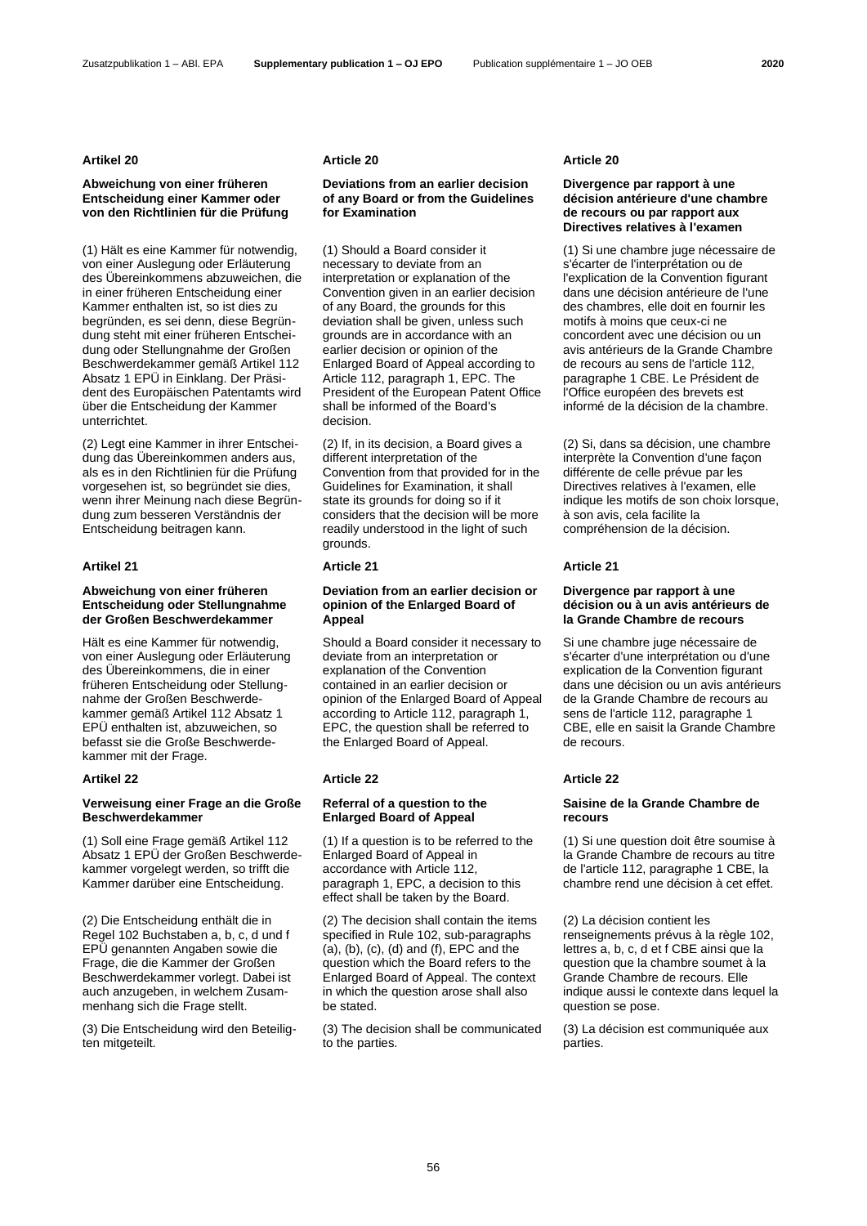## **Artikel 20 Article 20 Article 20**

# **Abweichung von einer früheren Entscheidung einer Kammer oder von den Richtlinien für die Prüfung**

(1) Hält es eine Kammer für notwendig, von einer Auslegung oder Erläuterung des Übereinkommens abzuweichen, die in einer früheren Entscheidung einer Kammer enthalten ist, so ist dies zu begründen, es sei denn, diese Begründung steht mit einer früheren Entscheidung oder Stellungnahme der Großen Beschwerdekammer gemäß Artikel 112 Absatz 1 EPÜ in Einklang. Der Präsident des Europäischen Patentamts wird über die Entscheidung der Kammer unterrichtet.

(2) Legt eine Kammer in ihrer Entscheidung das Übereinkommen anders aus, als es in den Richtlinien für die Prüfung vorgesehen ist, so begründet sie dies, wenn ihrer Meinung nach diese Begründung zum besseren Verständnis der Entscheidung beitragen kann.

## **Artikel 21 Article 21 Article 21**

## **Abweichung von einer früheren Entscheidung oder Stellungnahme der Großen Beschwerdekammer**

Hält es eine Kammer für notwendig, von einer Auslegung oder Erläuterung des Übereinkommens, die in einer früheren Entscheidung oder Stellungnahme der Großen Beschwerdekammer gemäß Artikel 112 Absatz 1 EPÜ enthalten ist, abzuweichen, so befasst sie die Große Beschwerdekammer mit der Frage.

## **Artikel 22 Article 22 Article 22**

## **Verweisung einer Frage an die Große Beschwerdekammer**

(1) Soll eine Frage gemäß Artikel 112 Absatz 1 EPÜ der Großen Beschwerdekammer vorgelegt werden, so trifft die Kammer darüber eine Entscheidung.

(2) Die Entscheidung enthält die in Regel 102 Buchstaben a, b, c, d und f EPÜ genannten Angaben sowie die Frage, die die Kammer der Großen Beschwerdekammer vorlegt. Dabei ist auch anzugeben, in welchem Zusammenhang sich die Frage stellt.

(3) Die Entscheidung wird den Beteiligten mitgeteilt.

# **Deviations from an earlier decision of any Board or from the Guidelines for Examination**

(1) Should a Board consider it necessary to deviate from an interpretation or explanation of the Convention given in an earlier decision of any Board, the grounds for this deviation shall be given, unless such grounds are in accordance with an earlier decision or opinion of the Enlarged Board of Appeal according to Article 112, paragraph 1, EPC. The President of the European Patent Office shall be informed of the Board's decision.

(2) If, in its decision, a Board gives a different interpretation of the Convention from that provided for in the Guidelines for Examination, it shall state its grounds for doing so if it considers that the decision will be more readily understood in the light of such grounds.

## **Deviation from an earlier decision or opinion of the Enlarged Board of Appeal**

Should a Board consider it necessary to deviate from an interpretation or explanation of the Convention contained in an earlier decision or opinion of the Enlarged Board of Appeal according to Article 112, paragraph 1, EPC, the question shall be referred to the Enlarged Board of Appeal.

## **Referral of a question to the Enlarged Board of Appeal**

(1) If a question is to be referred to the Enlarged Board of Appeal in accordance with Article 112, paragraph 1, EPC, a decision to this effect shall be taken by the Board.

(2) The decision shall contain the items specified in Rule 102, sub-paragraphs (a), (b), (c), (d) and (f), EPC and the question which the Board refers to the Enlarged Board of Appeal. The context in which the question arose shall also be stated.

(3) The decision shall be communicated to the parties.

## **Divergence par rapport à une décision antérieure d'une chambre de recours ou par rapport aux Directives relatives à l'examen**

(1) Si une chambre juge nécessaire de s'écarter de l'interprétation ou de l'explication de la Convention figurant dans une décision antérieure de l'une des chambres, elle doit en fournir les motifs à moins que ceux-ci ne concordent avec une décision ou un avis antérieurs de la Grande Chambre de recours au sens de l'article 112, paragraphe 1 CBE. Le Président de l'Office européen des brevets est informé de la décision de la chambre.

(2) Si, dans sa décision, une chambre interprète la Convention d'une façon différente de celle prévue par les Directives relatives à l'examen, elle indique les motifs de son choix lorsque, à son avis, cela facilite la compréhension de la décision.

## **Divergence par rapport à une décision ou à un avis antérieurs de la Grande Chambre de recours**

Si une chambre juge nécessaire de s'écarter d'une interprétation ou d'une explication de la Convention figurant dans une décision ou un avis antérieurs de la Grande Chambre de recours au sens de l'article 112, paragraphe 1 CBE, elle en saisit la Grande Chambre de recours.

# **Saisine de la Grande Chambre de recours**

(1) Si une question doit être soumise à la Grande Chambre de recours au titre de l'article 112, paragraphe 1 CBE, la chambre rend une décision à cet effet.

(2) La décision contient les renseignements prévus à la règle 102, lettres a, b, c, d et f CBE ainsi que la question que la chambre soumet à la Grande Chambre de recours. Elle indique aussi le contexte dans lequel la question se pose.

(3) La décision est communiquée aux parties.